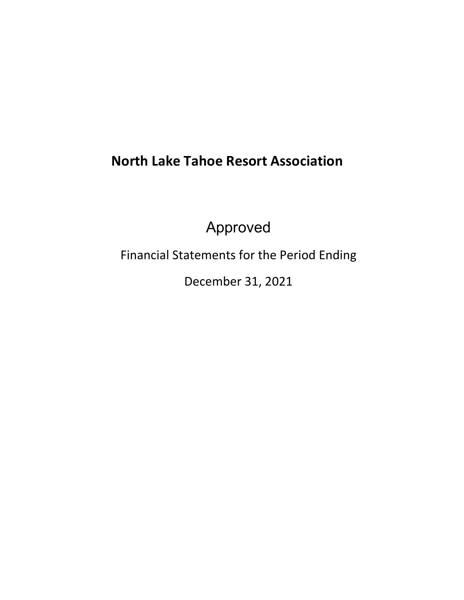# **North Lake Tahoe Resort Association**

Approved

Financial Statements for the Period Ending

December 31, 2021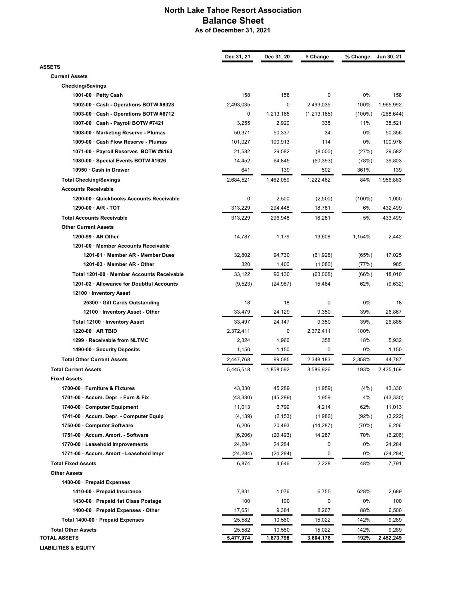### North Lake Tahoe Resort Association Balance Sheet As of December 31, 2021

|                                            | Dec 31, 21 | Dec 31, 20 | \$ Change     | % Change  | Jun 30, 21 |
|--------------------------------------------|------------|------------|---------------|-----------|------------|
| <b>ASSETS</b>                              |            |            |               |           |            |
| <b>Current Assets</b>                      |            |            |               |           |            |
| <b>Checking/Savings</b>                    |            |            |               |           |            |
| 1001-00 · Petty Cash                       | 158        | 158        | 0             | 0%        | 158        |
| 1002-00 Cash - Operations BOTW #8328       | 2,493,035  | 0          | 2,493,035     | 100%      | 1,965,992  |
| 1003-00 Cash - Operations BOTW #6712       | 0          | 1,213,165  | (1, 213, 165) | $(100\%)$ | (268, 644) |
| 1007-00 · Cash - Payroll BOTW #7421        | 3,255      | 2,920      | 335           | 11%       | 38,521     |
| 1008-00 · Marketing Reserve - Plumas       | 50,371     | 50,337     | 34            | 0%        | 50,356     |
| 1009-00 · Cash Flow Reserve - Plumas       | 101,027    | 100,913    | 114           | 0%        | 100,976    |
| 1071-00 · Payroll Reserves BOTW #8163      | 21,582     | 29,582     | (8,000)       | (27%)     | 29,582     |
| 1080-00 · Special Events BOTW #1626        | 14,452     | 64,845     | (50, 393)     | (78%)     | 39,803     |
| 10950 · Cash in Drawer                     | 641        | 139        | 502           | 361%      | 139        |
| <b>Total Checking/Savings</b>              | 2,684,521  | 1,462,059  | 1,222,462     | 84%       | 1,956,883  |
| <b>Accounts Receivable</b>                 |            |            |               |           |            |
| 1200-00 Quickbooks Accounts Receivable     | 0          | 2,500      | (2,500)       | $(100\%)$ | 1,000      |
| $1290-00 \cdot A/R - TOT$                  | 313,229    | 294,448    | 18,781        | 6%        | 432,499    |
| <b>Total Accounts Receivable</b>           | 313,229    | 296.948    | 16,281        | 5%        | 433,499    |
| <b>Other Current Assets</b>                |            |            |               |           |            |
| 1200-99 · AR Other                         | 14,787     | 1,179      | 13,608        | 1,154%    | 2,442      |
| 1201-00 Member Accounts Receivable         |            |            |               |           |            |
| 1201-01 · Member AR - Member Dues          | 32,802     | 94,730     | (61,928)      | (65%)     | 17,025     |
| 1201-03 · Member AR - Other                | 320        | 1,400      | (1,080)       | (77%)     | 985        |
| Total 1201-00 · Member Accounts Receivable | 33,122     | 96,130     | (63,008)      | (66%)     | 18,010     |
| 1201-02 · Allowance for Doubtful Accounts  | (9, 523)   | (24, 987)  | 15,464        | 62%       | (9,632)    |
| 12100 · Inventory Asset                    |            |            |               |           |            |
| 25300 Gift Cards Outstanding               | 18         | 18         | 0             | 0%        | 18         |
| 12100 · Inventory Asset - Other            | 33,479     | 24,129     | 9,350         | 39%       | 26,867     |
| Total 12100 · Inventory Asset              | 33,497     | 24,147     | 9,350         | 39%       | 26,885     |
| $1220-00$ · AR TBID                        | 2,372,411  | 0          | 2,372,411     | 100%      |            |
| 1299 · Receivable from NLTMC               | 2,324      | 1,966      | 358           | 18%       | 5,932      |
| 1490-00 · Security Deposits                | 1,150      | 1,150      | 0             | 0%        | 1,150      |
| <b>Total Other Current Assets</b>          | 2,447,768  | 99,585     | 2,348,183     | 2,358%    | 44,787     |
| <b>Total Current Assets</b>                | 5,445,518  | 1,858,592  | 3,586,926     | 193%      | 2,435,169  |
| <b>Fixed Assets</b>                        |            |            |               |           |            |
| 1700-00 · Furniture & Fixtures             | 43,330     | 45,289     | (1,959)       | (4%)      | 43,330     |
| 1701-00 · Accum. Depr. - Furn & Fix        | (43, 330)  | (45, 289)  | 1,959         | 4%        | (43, 330)  |
| 1740-00 · Computer Equipment               | 11,013     | 6,799      | 4,214         | 62%       | 11,013     |
| 1741-00 · Accum. Depr. - Computer Equip    | (4, 139)   | (2, 153)   | (1,986)       | (92%)     | (3,222)    |
| 1750-00 · Computer Software                | 6,206      | 20,493     | (14, 287)     | (70%)     | 6,206      |
| 1751-00 · Accum. Amort. - Software         | (6,206)    | (20, 493)  | 14,287        | 70%       | (6, 206)   |
| 1770-00 · Leasehold Improvements           | 24,284     | 24,284     | 0             | 0%        | 24,284     |
| 1771-00 · Accum. Amort - Leasehold Impr    | (24, 284)  | (24, 284)  | 0             | 0%        | (24, 284)  |
| <b>Total Fixed Assets</b>                  | 6,874      | 4,646      | 2,228         | 48%       | 7,791      |
| <b>Other Assets</b>                        |            |            |               |           |            |
| 1400-00 · Prepaid Expenses                 |            |            |               |           |            |
| 1410-00 · Prepaid Insurance                | 7,831      | 1,076      | 6,755         | 628%      | 2,689      |
| 1430-00 · Prepaid 1st Class Postage        | 100        | 100        | 0             | 0%        | 100        |
| 1400-00 · Prepaid Expenses - Other         | 17,651     | 9,384      | 8,267         | 88%       | 6,500      |
| Total 1400-00 · Prepaid Expenses           | 25,582     | 10,560     | 15,022        | 142%      | 9,289      |
| <b>Total Other Assets</b>                  | 25,582     | 10,560     | 15,022        | 142%      | 9,289      |
| TOTAL ASSETS                               | 5,477,974  | 1,873,798  | 3,604,176     | 192%      | 2,452,249  |
| <b>LIABILITIES &amp; EQUITY</b>            |            |            |               |           |            |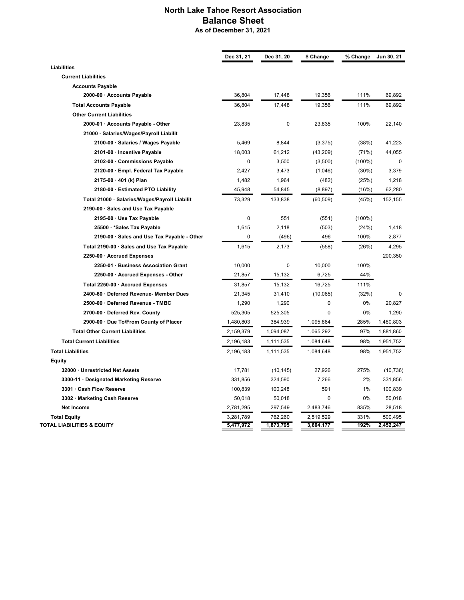### North Lake Tahoe Resort Association Balance Sheet As of December 31, 2021

|                                               | Dec 31, 21 | Dec 31, 20 | \$ Change | % Change  | Jun 30, 21 |
|-----------------------------------------------|------------|------------|-----------|-----------|------------|
| <b>Liabilities</b>                            |            |            |           |           |            |
| <b>Current Liabilities</b>                    |            |            |           |           |            |
| <b>Accounts Payable</b>                       |            |            |           |           |            |
| 2000-00 · Accounts Payable                    | 36,804     | 17,448     | 19,356    | 111%      | 69,892     |
| <b>Total Accounts Payable</b>                 | 36,804     | 17,448     | 19,356    | 111%      | 69,892     |
| <b>Other Current Liabilities</b>              |            |            |           |           |            |
| 2000-01 · Accounts Payable - Other            | 23,835     | 0          | 23,835    | 100%      | 22,140     |
| 21000 · Salaries/Wages/Payroll Liabilit       |            |            |           |           |            |
| 2100-00 · Salaries / Wages Payable            | 5,469      | 8,844      | (3, 375)  | (38%)     | 41,223     |
| 2101-00 · Incentive Payable                   | 18,003     | 61,212     | (43,209)  | (71%)     | 44,055     |
| 2102-00 Commissions Payable                   | 0          | 3,500      | (3,500)   | $(100\%)$ | 0          |
| 2120-00 · Empl. Federal Tax Payable           | 2,427      | 3,473      | (1,046)   | $(30\%)$  | 3,379      |
| 2175-00 · 401 (k) Plan                        | 1,482      | 1,964      | (482)     | (25%)     | 1,218      |
| 2180-00 · Estimated PTO Liability             | 45,948     | 54,845     | (8, 897)  | (16%)     | 62,280     |
| Total 21000 · Salaries/Wages/Payroll Liabilit | 73,329     | 133,838    | (60, 509) | (45%)     | 152,155    |
| 2190-00 · Sales and Use Tax Payable           |            |            |           |           |            |
| 2195-00 · Use Tax Payable                     | 0          | 551        | (551)     | $(100\%)$ |            |
| 25500 · * Sales Tax Payable                   | 1,615      | 2,118      | (503)     | (24%)     | 1,418      |
| 2190-00 · Sales and Use Tax Payable - Other   | 0          | (496)      | 496       | 100%      | 2,877      |
| Total 2190-00 · Sales and Use Tax Payable     | 1,615      | 2,173      | (558)     | (26%)     | 4,295      |
| 2250-00 · Accrued Expenses                    |            |            |           |           | 200,350    |
| 2250-01 · Business Association Grant          | 10,000     | 0          | 10,000    | 100%      |            |
| 2250-00 · Accrued Expenses - Other            | 21,857     | 15,132     | 6,725     | 44%       |            |
| Total 2250-00 Accrued Expenses                | 31,857     | 15,132     | 16,725    | 111%      |            |
| 2400-60 · Deferred Revenue- Member Dues       | 21,345     | 31,410     | (10,065)  | (32%)     | 0          |
| 2500-00 · Deferred Revenue - TMBC             | 1,290      | 1,290      | 0         | 0%        | 20,827     |
| 2700-00 · Deferred Rev. County                | 525,305    | 525,305    | 0         | 0%        | 1,290      |
| 2900-00 · Due To/From County of Placer        | 1,480,803  | 384,939    | 1,095,864 | 285%      | 1,480,803  |
| <b>Total Other Current Liabilities</b>        | 2,159,379  | 1,094,087  | 1,065,292 | 97%       | 1,881,860  |
| <b>Total Current Liabilities</b>              | 2,196,183  | 1,111,535  | 1,084,648 | 98%       | 1,951,752  |
| <b>Total Liabilities</b>                      | 2,196,183  | 1,111,535  | 1,084,648 | 98%       | 1,951,752  |
| Equity                                        |            |            |           |           |            |
| 32000 Unrestricted Net Assets                 | 17,781     | (10, 145)  | 27,926    | 275%      | (10, 736)  |
| 3300-11 · Designated Marketing Reserve        | 331,856    | 324,590    | 7,266     | 2%        | 331,856    |
| 3301 Cash Flow Reserve                        | 100,839    | 100,248    | 591       | 1%        | 100,839    |
| 3302 · Marketing Cash Reserve                 | 50,018     | 50,018     | 0         | 0%        | 50,018     |
| <b>Net Income</b>                             | 2,781,295  | 297,549    | 2,483,746 | 835%      | 28,518     |
| <b>Total Equity</b>                           | 3,281,789  | 762,260    | 2,519,529 | 331%      | 500,495    |
| TOTAL LIABILITIES & EQUITY                    | 5,477,972  | 1,873,795  | 3,604,177 | 192%      | 2,452,247  |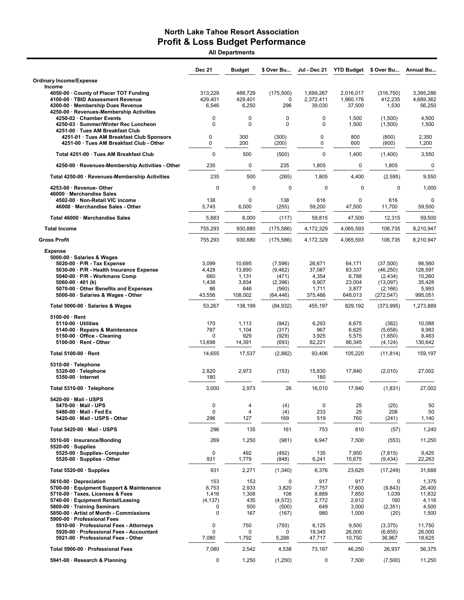All Departments

|                                                                                                                                                                                                                                                                  | <b>Dec 21</b>                                                   | Budget                                               | \$ Over Bu                                                   | Jul - Dec 21                                           | <b>YTD Budget</b>                                       | \$ Over Bu                                                             | <b>Annual Bu</b>                                          |
|------------------------------------------------------------------------------------------------------------------------------------------------------------------------------------------------------------------------------------------------------------------|-----------------------------------------------------------------|------------------------------------------------------|--------------------------------------------------------------|--------------------------------------------------------|---------------------------------------------------------|------------------------------------------------------------------------|-----------------------------------------------------------|
| <b>Ordinary Income/Expense</b><br>Income                                                                                                                                                                                                                         |                                                                 |                                                      |                                                              |                                                        |                                                         |                                                                        |                                                           |
| 4050-00 County of Placer TOT Funding<br>4100-00 · TBID Assessment Revenue<br>4200-00 · Membership Dues Revenue<br>4250-00 · Revenues-Membership Activities                                                                                                       | 313,229<br>429,401<br>6,546                                     | 488,729<br>429,401<br>6,250                          | (175, 500)<br>0<br>296                                       | 1,699,267<br>2,372,411<br>39,030                       | 2,016,017<br>1,960,176<br>37,500                        | (316, 750)<br>412,235<br>1,530                                         | 3,395,286<br>4,689,362<br>56,250                          |
| 4250-02 Chamber Events<br>4250-03 · Summer/Winter Rec Luncheon<br>4251-00 · Tues AM Breakfast Club                                                                                                                                                               | 0<br>0                                                          | $\mathbf 0$<br>$\mathbf 0$                           | 0<br>$\mathbf{0}$                                            | 0<br>0                                                 | 1,500<br>1,500                                          | (1,500)<br>(1,500)                                                     | 4,500<br>1,500                                            |
| 4251-01 · Tues AM Breakfast Club Sponsors<br>4251-00 · Tues AM Breakfast Club - Other                                                                                                                                                                            | 0<br>0                                                          | 300<br>200                                           | (300)<br>(200)                                               | 0<br>0                                                 | 800<br>600                                              | (800)<br>(600)                                                         | 2,350<br>1,200                                            |
| Total 4251-00 · Tues AM Breakfast Club                                                                                                                                                                                                                           | $\mathbf 0$                                                     | 500                                                  | (500)                                                        | $\Omega$                                               | 1,400                                                   | (1,400)                                                                | 3,550                                                     |
| 4250-00 · Revenues-Membership Activities - Other                                                                                                                                                                                                                 | 235                                                             | 0                                                    | 235                                                          | 1,805                                                  | $\mathbf 0$                                             | 1,805                                                                  | $\mathbf 0$                                               |
| Total 4250-00 · Revenues-Membership Activities                                                                                                                                                                                                                   | 235                                                             | 500                                                  | (265)                                                        | 1,805                                                  | 4,400                                                   | (2, 595)                                                               | 9,550                                                     |
| 4253-00 · Revenue- Other<br>46000 Merchandise Sales                                                                                                                                                                                                              | $\mathbf 0$                                                     | $\mathbf 0$                                          | $\mathbf 0$                                                  | $\mathbf 0$                                            | $\mathbf 0$                                             | $\mathbf 0$                                                            | 1,000                                                     |
| 4502-00 Non-Retail VIC income<br>46000 · Merchandise Sales - Other                                                                                                                                                                                               | 138<br>5,745                                                    | $\mathbf 0$<br>6,000                                 | 138<br>(255)                                                 | 616<br>59,200                                          | 0<br>47,500                                             | 616<br>11,700                                                          | 0<br>59,500                                               |
| Total 46000 · Merchandise Sales                                                                                                                                                                                                                                  | 5,883                                                           | 6,000                                                | (117)                                                        | 59,815                                                 | 47,500                                                  | 12,315                                                                 | 59,500                                                    |
| <b>Total Income</b>                                                                                                                                                                                                                                              | 755.293                                                         | 930,880                                              | (175, 586)                                                   | 4,172,329                                              | 4,065,593                                               | 106,735                                                                | 8,210,947                                                 |
| <b>Gross Profit</b>                                                                                                                                                                                                                                              | 755,293                                                         | 930,880                                              | (175, 586)                                                   | 4,172,329                                              | 4,065,593                                               | 106,735                                                                | 8,210,947                                                 |
| <b>Expense</b><br>5000-00 · Salaries & Wages<br>5020-00 · P/R - Tax Expense<br>5030-00 · P/R - Health Insurance Expense<br>5040-00 · P/R - Workmans Comp<br>5060-00 $\cdot$ 401 (k)<br>5070-00 Other Benefits and Expenses<br>5000-00 · Salaries & Wages - Other | 3,099<br>4,428<br>660<br>1,438<br>86<br>43,556                  | 10,695<br>13,890<br>1,131<br>3,834<br>646<br>108,002 | (7,596)<br>(9,462)<br>(471)<br>(2,396)<br>(560)<br>(64, 446) | 26,671<br>37,087<br>4,354<br>9,907<br>1,711<br>375,466 | 64,171<br>83,337<br>6,788<br>23,004<br>3,877<br>648,013 | (37, 500)<br>(46, 250)<br>(2,434)<br>(13,097)<br>(2, 166)<br>(272,547) | 98,560<br>128,597<br>10,260<br>35,428<br>5,993<br>995,051 |
| Total 5000-00 · Salaries & Wages                                                                                                                                                                                                                                 | 53,267                                                          | 138,199                                              | (84, 932)                                                    | 455,197                                                | 829,192                                                 | (373,995)                                                              | 1,273,889                                                 |
| $5100-00 \cdot$ Rent<br>5110-00 · Utilities<br>5140-00 · Repairs & Maintenance<br>5150-00 · Office - Cleaning<br>5100-00 · Rent - Other                                                                                                                          | 170<br>787<br>0<br>13,698                                       | 1,113<br>1,104<br>929<br>14,391                      | (942)<br>(317)<br>(929)<br>(693)                             | 6,293<br>967<br>3,925<br>82,221                        | 6,675<br>6,625<br>5,575<br>86,345                       | (382)<br>(5,658)<br>(1,650)<br>(4, 124)                                | 10,088<br>9,983<br>8,483<br>130,642                       |
| Total 5100-00 · Rent                                                                                                                                                                                                                                             | 14,655                                                          | 17,537                                               | (2,882)                                                      | 93,406                                                 | 105,220                                                 | (11, 814)                                                              | 159,197                                                   |
| 5310-00 · Telephone<br>5320-00 · Telephone<br>5350-00 · Internet                                                                                                                                                                                                 | 2,820<br>180                                                    | 2,973                                                | (153)                                                        | 15,830<br>180                                          | 17,840                                                  | (2,010)                                                                | 27,002                                                    |
| Total 5310-00 · Telephone                                                                                                                                                                                                                                        | 3,000                                                           | 2,973                                                | 26                                                           | 16,010                                                 | 17,840                                                  | (1,831)                                                                | 27,002                                                    |
| $5420-00 \cdot$ Mail - USPS<br>5470-00 · Mail - UPS<br>5480-00 Mail - Fed Ex<br>5420-00 · Mail - USPS - Other                                                                                                                                                    | 0<br>0<br>296                                                   | 4<br>$\overline{4}$<br>127                           | (4)<br>(4)<br>169                                            | 0<br>233<br>519                                        | 25<br>25<br>760                                         | (25)<br>208<br>(241)                                                   | 50<br>50<br>1,140                                         |
| Total 5420-00 · Mail - USPS                                                                                                                                                                                                                                      | 296                                                             | 135                                                  | 161                                                          | 753                                                    | 810                                                     | (57)                                                                   | 1,240                                                     |
| 5510-00 · Insurance/Bonding<br>$5520-00 \cdot$ Supplies                                                                                                                                                                                                          | 269                                                             | 1,250                                                | (981)                                                        | 6,947                                                  | 7,500                                                   | (553)                                                                  | 11,250                                                    |
| 5525-00 · Supplies- Computer<br>5520-00 · Supplies - Other                                                                                                                                                                                                       | 0<br>931                                                        | 492<br>1,779                                         | (492)<br>(848)                                               | 135<br>6,241                                           | 7,950<br>15,675                                         | (7, 815)<br>(9, 434)                                                   | 9,425<br>22,263                                           |
| Total 5520-00 · Supplies                                                                                                                                                                                                                                         | 931                                                             | 2,271                                                | (1,340)                                                      | 6,376                                                  | 23,625                                                  | (17, 249)                                                              | 31,688                                                    |
| 5610-00 Depreciation<br>5700-00 · Equipment Support & Maintenance<br>5710-00 · Taxes, Licenses & Fees<br>5740-00 · Equipment Rental/Leasing<br>5800-00 · Training Seminars<br>5850-00 · Artist of Month - Commissions<br>5900-00 · Professional Fees             | 153<br>6,753<br>1,416<br>(4, 137)<br>$\mathbf 0$<br>$\mathbf 0$ | 153<br>2,933<br>1,308<br>435<br>500<br>167           | 0<br>3,820<br>108<br>(4, 572)<br>(500)<br>(167)              | 917<br>7,757<br>8,889<br>2,772<br>649<br>980           | 917<br>17,600<br>7,850<br>2,612<br>3,000<br>1,000       | 0<br>(9, 843)<br>1,039<br>160<br>(2,351)<br>(20)                       | 1,375<br>26,400<br>11,832<br>4,116<br>4,500<br>1,500      |
| 5910-00 · Professional Fees - Attorneys<br>5920-00 · Professional Fees - Accountant<br>5921-00 · Professional Fees - Other                                                                                                                                       | 0<br>0<br>7,080                                                 | 750<br>0<br>1,792                                    | (750)<br>0<br>5,288                                          | 6,125<br>19,345<br>47,717                              | 9,500<br>26,000<br>10,750                               | (3,375)<br>(6,655)<br>36,967                                           | 11,750<br>26,000<br>18,625                                |
| Total 5900-00 · Professional Fees                                                                                                                                                                                                                                | 7,080                                                           | 2,542                                                | 4,538                                                        | 73,187                                                 | 46,250                                                  | 26,937                                                                 | 56,375                                                    |
| 5941-00 · Research & Planning                                                                                                                                                                                                                                    | 0                                                               | 1,250                                                | (1,250)                                                      | 0                                                      | 7,500                                                   | (7,500)                                                                | 11,250                                                    |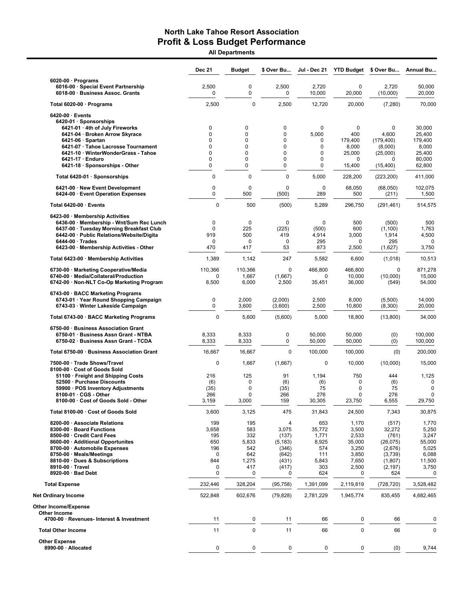All Departments

|                                                                                                                         | Dec 21                | <b>Budget</b>      | \$ Over Bu           | Jul - Dec 21                    | <b>YTD Budget</b>     | \$ Over Bu                        | Annual Bu                  |
|-------------------------------------------------------------------------------------------------------------------------|-----------------------|--------------------|----------------------|---------------------------------|-----------------------|-----------------------------------|----------------------------|
| $6020-00 \cdot$ Programs<br>6016-00 · Special Event Partnership<br>6018-00 · Business Assoc. Grants                     | 2,500<br>0            | 0<br>0             | 2,500<br>0           | 2,720<br>10,000                 | $\mathbf 0$<br>20,000 | 2,720<br>(10,000)                 | 50.000<br>20,000           |
| Total 6020-00 · Programs                                                                                                | 2,500                 | 0                  | 2,500                | 12,720                          | 20,000                | (7, 280)                          | 70,000                     |
| 6420-00 · Events<br>6420-01 · Sponsorships<br>6421-01 · 4th of July Fireworks                                           | 0                     | 0                  | $\mathbf 0$          | $\mathbf 0$                     | $\mathbf 0$           | 0                                 | 30,000                     |
| 6421-04 · Broken Arrow Skyrace<br>$6421-06 \cdot$ Spartan                                                               | $\Omega$<br>$\Omega$  | 0<br>0             | 0<br>0               | 5,000<br>0                      | 400<br>179,400        | 4,600<br>(179, 400)               | 25,400<br>179,400          |
| 6421-07 · Tahoe Lacrosse Tournament                                                                                     | $\Omega$              | 0                  | 0                    | 0                               | 8,000                 | (8,000)                           | 8,000                      |
| 6421-10 · WinterWonderGrass - Tahoe<br>6421-17 · Enduro<br>6421-18 · Sponsorships - Other                               | $\mathbf 0$<br>0<br>0 | 0<br>0<br>0        | 0<br>0<br>0          | $\mathbf 0$<br>0<br>$\mathbf 0$ | 25,000<br>0<br>15,400 | (25,000)<br>$\Omega$<br>(15, 400) | 25,400<br>80,000<br>62,800 |
| Total 6420-01 · Sponsorships                                                                                            | $\pmb{0}$             | 0                  | $\mathbf 0$          | 5,000                           | 228,200               | (223, 200)                        | 411,000                    |
| 6421-00 · New Event Development<br>6424-00 · Event Operation Expenses                                                   | 0<br>0                | 0<br>500           | 0<br>(500)           | 0<br>289                        | 68,050<br>500         | (68,050)<br>(211)                 | 102,075<br>1,500           |
| Total 6420-00 · Events                                                                                                  | $\mathbf 0$           | 500                | (500)                | 5,289                           | 296,750               | (291, 461)                        | 514,575                    |
| 6423-00 · Membership Activities<br>6436-00 · Membership - Wnt/Sum Rec Lunch<br>6437-00 · Tuesday Morning Breakfast Club | $\mathbf 0$<br>0      | $\mathbf 0$<br>225 | $\mathbf 0$<br>(225) | 0<br>(500)                      | 500<br>600            | (500)<br>(1, 100)                 | 500<br>1,763               |
| 6442-00 · Public Relations/Website/Digita                                                                               | 919                   | 500                | 419                  | 4,914                           | 3,000                 | 1,914                             | 4,500                      |
| $6444-00 \cdot Trades$<br>6423-00 · Membership Activities - Other                                                       | 0<br>470              | 0<br>417           | $\mathbf 0$<br>53    | 295<br>873                      | 0<br>2,500            | 295<br>(1,627)                    | 0<br>3,750                 |
| Total 6423-00 · Membership Activities                                                                                   | 1,389                 | 1,142              | 247                  | 5,582                           | 6,600                 | (1,018)                           | 10,513                     |
| 6730-00 · Marketing Cooperative/Media                                                                                   | 110,366               | 110,366            | $\mathbf 0$          | 466,800                         | 466,800               | 0                                 | 871,278                    |
| 6740-00 · Media/Collateral/Production<br>6742-00 · Non-NLT Co-Op Marketing Program                                      | 0<br>8,500            | 1,667<br>6,000     | (1,667)<br>2,500     | 0<br>35,451                     | 10,000<br>36,000      | (10,000)<br>(549)                 | 15,000<br>54,000           |
| 6743-00 · BACC Marketing Programs                                                                                       |                       |                    |                      |                                 |                       |                                   |                            |
| 6743-01 Year Round Shopping Campaign<br>6743-03 · Winter Lakeside Campaign                                              | 0<br>$\mathbf 0$      | 2,000<br>3,600     | (2,000)<br>(3,600)   | 2,500<br>2,500                  | 8,000<br>10,800       | (5,500)<br>(8,300)                | 14,000<br>20,000           |
| Total 6743-00 · BACC Marketing Programs                                                                                 | 0                     | 5,600              | (5,600)              | 5,000                           | 18,800                | (13,800)                          | 34,000                     |
| 6750-00 · Business Association Grant<br>6750-01 · Business Assn Grant - NTBA<br>6750-02 · Business Assn Grant - TCDA    | 8,333<br>8,333        | 8,333<br>8,333     | 0<br>0               | 50,000<br>50,000                | 50,000<br>50,000      | (0)<br>(0)                        | 100,000<br>100,000         |
| Total 6750-00 · Business Association Grant                                                                              | 16,667                | 16,667             | $\Omega$             | 100,000                         | 100,000               | (0)                               | 200,000                    |
| 7500-00 · Trade Shows/Travel                                                                                            | 0                     | 1,667              | (1,667)              | 0                               | 10,000                | (10,000)                          | 15,000                     |
| 8100-00 · Cost of Goods Sold<br>51100 · Freight and Shipping Costs                                                      | 216                   | 125                | 91                   | 1,194                           | 750                   | 444                               | 1,125                      |
| 52500 · Purchase Discounts<br>59900 · POS Inventory Adjustments                                                         | (6)<br>(35)           | 0<br>0             | (6)<br>(35)          | (6)<br>75                       | 0<br>0                | (6)<br>75                         | 0<br>$\mathbf 0$           |
| 8100-01 CGS - Other                                                                                                     | 266                   | 0                  | 266                  | 276                             | 0                     | 276                               | $\mathbf 0$                |
| 8100-00 · Cost of Goods Sold - Other                                                                                    | 3,159                 | 3,000              | 159                  | 30,305                          | 23,750                | 6,555                             | 29,750                     |
| Total 8100-00 · Cost of Goods Sold                                                                                      | 3,600                 | 3,125              | 475                  | 31,843                          | 24,500                | 7,343                             | 30,875                     |
| 8200-00 · Associate Relations<br>8300-00 · Board Functions                                                              | 199<br>3,658          | 195<br>583         | 4<br>3,075           | 653<br>35,772                   | 1,170<br>3,500        | (517)<br>32,272                   | 1,770<br>5,250             |
| 8500-00 · Credit Card Fees                                                                                              | 195                   | 332                | (137)                | 1,771                           | 2,533                 | (761)                             | 3,247                      |
| 8600-00 · Additional Opportunites                                                                                       | 650                   | 5,833              | (5, 183)             | 8,925                           | 35,000                | (26, 075)                         | 55,000                     |
| 8700-00 · Automobile Expenses<br>8750-00 · Meals/Meetings                                                               | 196<br>0              | 542<br>642         | (346)<br>(642)       | 574<br>111                      | 3,250<br>3,850        | (2,676)<br>(3,739)                | 5,025<br>6,088             |
| 8810-00 · Dues & Subscriptions                                                                                          | 844                   | 1,275              | (431)                | 5,843                           | 7,650                 | (1,807)                           | 11,500                     |
| 8910-00 · Travel<br>8920-00 · Bad Debt                                                                                  | 0<br>0                | 417<br>0           | (417)<br>0           | 303<br>624                      | 2,500<br>0            | (2, 197)<br>624                   | 3,750<br>0                 |
| <b>Total Expense</b>                                                                                                    | 232,446               | 328,204            | (95, 758)            | 1,391,099                       | 2,119,819             | (728, 720)                        | 3,528,482                  |
| Net Ordinary Income                                                                                                     | 522,848               | 602,676            | (79, 828)            | 2,781,229                       | 1,945,774             | 835,455                           | 4,682,465                  |
| Other Income/Expense                                                                                                    |                       |                    |                      |                                 |                       |                                   |                            |
| Other Income<br>4700-00 · Revenues- Interest & Investment                                                               | 11                    | 0                  | 11                   | 66                              | 0                     | 66                                | 0                          |
| <b>Total Other Income</b>                                                                                               | 11                    | 0                  | 11                   | 66                              | 0                     | 66                                | 0                          |
| <b>Other Expense</b>                                                                                                    |                       |                    |                      |                                 |                       |                                   |                            |
| 8990-00 · Allocated                                                                                                     | 0                     | 0                  | 0                    | 0                               | 0                     | (0)                               | 9,744                      |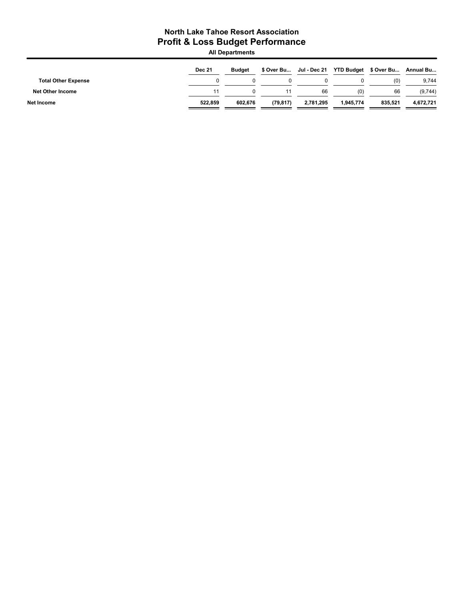All Departments

|                            | <b>Dec 21</b> | <b>Budget</b> |           | \$ Over Bu Jul - Dec 21 | YTD Budget \$ Over Bu Annual Bu |         |           |
|----------------------------|---------------|---------------|-----------|-------------------------|---------------------------------|---------|-----------|
| <b>Total Other Expense</b> |               |               |           |                         |                                 | (0)     | 9,744     |
| <b>Net Other Income</b>    | 11            |               |           | 66                      | (0)                             | 66      | (9,744)   |
| Net Income                 | 522.859       | 602.676       | (79, 817) | 2,781,295               | 1,945,774                       | 835.521 | 4,672,721 |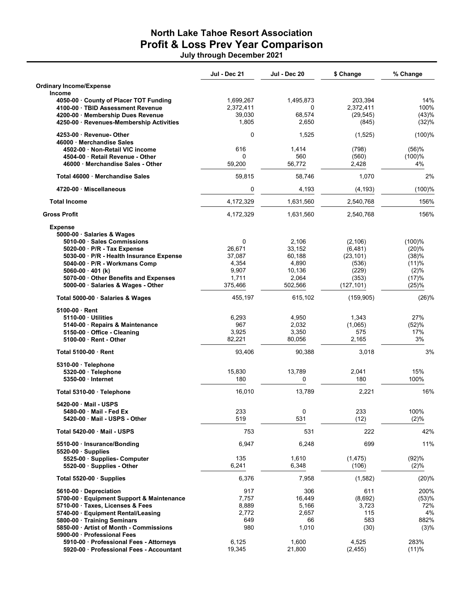## North Lake Tahoe Resort Association Profit & Loss Prev Year Comparison July through December 2021

|                                                                                                                                                                                                                                                 | Jul - Dec 21                                                          | Jul - Dec 20                                                     | \$ Change                                                                  | % Change                                                    |
|-------------------------------------------------------------------------------------------------------------------------------------------------------------------------------------------------------------------------------------------------|-----------------------------------------------------------------------|------------------------------------------------------------------|----------------------------------------------------------------------------|-------------------------------------------------------------|
| <b>Ordinary Income/Expense</b><br><b>Income</b>                                                                                                                                                                                                 |                                                                       |                                                                  |                                                                            |                                                             |
| 4050-00 County of Placer TOT Funding<br>4100-00 TBID Assessment Revenue<br>4200-00 Membership Dues Revenue<br>4250-00 · Revenues-Membership Activities                                                                                          | 1,699,267<br>2,372,411<br>39,030<br>1,805                             | 1,495,873<br>0<br>68,574<br>2,650                                | 203,394<br>2,372,411<br>(29, 545)<br>(845)                                 | 14%<br>100%<br>(43)%<br>(32)%                               |
| 4253-00 Revenue- Other<br>46000 Merchandise Sales                                                                                                                                                                                               | 0                                                                     | 1,525                                                            | (1, 525)                                                                   | (100)%                                                      |
| 4502-00 · Non-Retail VIC income<br>4504-00 · Retail Revenue - Other<br>46000 Merchandise Sales - Other                                                                                                                                          | 616<br>$\Omega$<br>59,200                                             | 1,414<br>560<br>56,772                                           | (798)<br>(560)<br>2,428                                                    | (56)%<br>(100)%<br>4%                                       |
| Total 46000 Merchandise Sales                                                                                                                                                                                                                   | 59,815                                                                | 58,746                                                           | 1,070                                                                      | 2%                                                          |
| 4720-00 Miscellaneous                                                                                                                                                                                                                           | 0                                                                     | 4,193                                                            | (4, 193)                                                                   | $(100)$ %                                                   |
| <b>Total Income</b>                                                                                                                                                                                                                             | 4,172,329                                                             | 1,631,560                                                        | 2,540,768                                                                  | 156%                                                        |
| <b>Gross Profit</b>                                                                                                                                                                                                                             | 4,172,329                                                             | 1,631,560                                                        | 2,540,768                                                                  | 156%                                                        |
| <b>Expense</b><br>5000-00 · Salaries & Wages                                                                                                                                                                                                    |                                                                       |                                                                  |                                                                            |                                                             |
| 5010-00 · Sales Commissions<br>5020-00 · P/R - Tax Expense<br>5030-00 · P/R - Health Insurance Expense<br>5040-00 · P/R - Workmans Comp<br>5060-00 $\cdot$ 401 (k)<br>5070-00 Other Benefits and Expenses<br>5000-00 · Salaries & Wages - Other | $\mathbf 0$<br>26,671<br>37,087<br>4,354<br>9,907<br>1,711<br>375,466 | 2.106<br>33,152<br>60,188<br>4,890<br>10,136<br>2,064<br>502,566 | (2, 106)<br>(6, 481)<br>(23, 101)<br>(536)<br>(229)<br>(353)<br>(127, 101) | (100)%<br>(20)%<br>(38)%<br>(11)%<br>(2)%<br>(17)%<br>(25)% |
| Total 5000-00 · Salaries & Wages                                                                                                                                                                                                                | 455,197                                                               | 615,102                                                          | (159, 905)                                                                 | (26)%                                                       |
| 5100-00 Rent<br>5110-00 Utilities<br>5140-00 · Repairs & Maintenance<br>5150-00 Office - Cleaning<br>5100-00 · Rent - Other                                                                                                                     | 6,293<br>967<br>3,925<br>82,221                                       | 4,950<br>2,032<br>3,350<br>80,056                                | 1,343<br>(1,065)<br>575<br>2,165                                           | 27%<br>(52)%<br>17%<br>3%                                   |
| <b>Total 5100-00 Rent</b>                                                                                                                                                                                                                       | 93,406                                                                | 90,388                                                           | 3,018                                                                      | 3%                                                          |
| 5310-00 · Telephone<br>5320-00 · Telephone<br>5350-00 · Internet                                                                                                                                                                                | 15,830<br>180                                                         | 13,789<br>0                                                      | 2,041<br>180                                                               | 15%<br>100%                                                 |
| Total 5310-00 · Telephone                                                                                                                                                                                                                       | 16,010                                                                | 13,789                                                           | 2,221                                                                      | 16%                                                         |
| 5420-00 Mail - USPS<br>5480-00 · Mail - Fed Ex<br>5420-00 Mail - USPS - Other                                                                                                                                                                   | 233<br>519                                                            | 0<br>531                                                         | 233<br>(12)                                                                | 100%<br>(2)%                                                |
| Total 5420-00 Mail - USPS                                                                                                                                                                                                                       | 753                                                                   | 531                                                              | 222                                                                        | 42%                                                         |
| 5510-00 · Insurance/Bonding<br>$5520-00$ Supplies                                                                                                                                                                                               | 6,947                                                                 | 6,248                                                            | 699                                                                        | 11%                                                         |
| 5525-00 · Supplies- Computer<br>5520-00 · Supplies - Other                                                                                                                                                                                      | 135<br>6,241                                                          | 1,610<br>6,348                                                   | (1, 475)<br>(106)                                                          | (92)%<br>(2)%                                               |
| Total 5520-00 Supplies                                                                                                                                                                                                                          | 6,376                                                                 | 7,958                                                            | (1, 582)                                                                   | (20)%                                                       |
| 5610-00 Depreciation<br>5700-00 · Equipment Support & Maintenance<br>5710-00 · Taxes, Licenses & Fees<br>5740-00 · Equipment Rental/Leasing<br>5800-00 Training Seminars<br>5850-00 · Artist of Month - Commissions                             | 917<br>7,757<br>8,889<br>2,772<br>649<br>980                          | 306<br>16,449<br>5,166<br>2,657<br>66<br>1,010                   | 611<br>(8,692)<br>3,723<br>115<br>583<br>(30)                              | 200%<br>(53)%<br>72%<br>4%<br>882%<br>(3)%                  |
| 5900-00 Professional Fees<br>5910-00 · Professional Fees - Attorneys<br>5920-00 Professional Fees - Accountant                                                                                                                                  | 6,125<br>19,345                                                       | 1,600<br>21,800                                                  | 4,525<br>(2, 455)                                                          | 283%<br>(11)%                                               |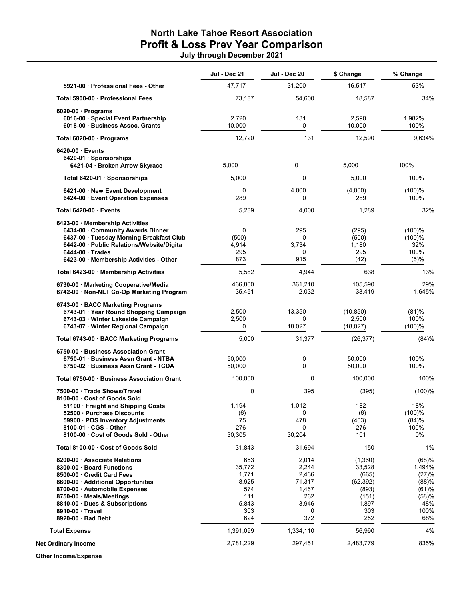### North Lake Tahoe Resort Association Profit & Loss Prev Year Comparison July through December 2021

|                                                                                                                                                                                                                      | Jul - Dec 21                                           | Jul - Dec 20                                               | \$ Change                                                          | % Change                                                   |
|----------------------------------------------------------------------------------------------------------------------------------------------------------------------------------------------------------------------|--------------------------------------------------------|------------------------------------------------------------|--------------------------------------------------------------------|------------------------------------------------------------|
| 5921-00 Professional Fees - Other                                                                                                                                                                                    | 47,717                                                 | 31,200                                                     | 16,517                                                             | 53%                                                        |
| Total 5900-00 Professional Fees                                                                                                                                                                                      | 73,187                                                 | 54,600                                                     | 18,587                                                             | 34%                                                        |
| $6020-00$ Programs<br>6016-00 · Special Event Partnership<br>6018-00 Business Assoc. Grants                                                                                                                          | 2,720<br>10,000                                        | 131<br>0                                                   | 2,590<br>10,000                                                    | 1,982%<br>100%                                             |
| Total 6020-00 · Programs                                                                                                                                                                                             | 12,720                                                 | 131                                                        | 12,590                                                             | 9,634%                                                     |
| 6420-00 Events<br>6420-01 · Sponsorships<br>6421-04 · Broken Arrow Skyrace                                                                                                                                           | 5,000                                                  | 0                                                          | 5,000                                                              | 100%                                                       |
| Total 6420-01 · Sponsorships                                                                                                                                                                                         | 5,000                                                  | 0                                                          | 5,000                                                              | 100%                                                       |
| 6421-00 New Event Development<br>6424-00 Event Operation Expenses                                                                                                                                                    | 0<br>289                                               | 4,000<br>0                                                 | (4,000)<br>289                                                     | (100)%<br>100%                                             |
| Total 6420-00 Events                                                                                                                                                                                                 | 5,289                                                  | 4,000                                                      | 1,289                                                              | 32%                                                        |
| 6423-00 Membership Activities<br>6434-00 Community Awards Dinner<br>6437-00 Tuesday Morning Breakfast Club<br>6442-00 · Public Relations/Website/Digita<br>6444-00 Trades<br>6423-00 · Membership Activities - Other | 0<br>(500)<br>4,914<br>295<br>873                      | 295<br>0<br>3,734<br>0<br>915                              | (295)<br>(500)<br>1,180<br>295<br>(42)                             | (100)%<br>(100)%<br>32%<br>100%<br>(5)%                    |
| Total 6423-00 · Membership Activities                                                                                                                                                                                | 5,582                                                  | 4,944                                                      | 638                                                                | 13%                                                        |
| 6730-00 Marketing Cooperative/Media<br>6742-00 · Non-NLT Co-Op Marketing Program                                                                                                                                     | 466,800<br>35,451                                      | 361,210<br>2,032                                           | 105,590<br>33,419                                                  | 29%<br>1,645%                                              |
| 6743-00 BACC Marketing Programs<br>6743-01 Year Round Shopping Campaign<br>6743-03 · Winter Lakeside Campaign<br>6743-07 · Winter Regional Campaign                                                                  | 2,500<br>2,500<br>0                                    | 13,350<br>0<br>18,027                                      | (10, 850)<br>2,500<br>(18,027)                                     | (81)%<br>100%<br>(100)%                                    |
| Total 6743-00 · BACC Marketing Programs                                                                                                                                                                              | 5,000                                                  | 31,377                                                     | (26, 377)                                                          | (84)%                                                      |
| 6750-00 Business Association Grant<br>6750-01 Business Assn Grant - NTBA<br>6750-02 Business Assn Grant - TCDA                                                                                                       | 50,000<br>50,000                                       | 0<br>0                                                     | 50,000<br>50,000                                                   | 100%<br>100%                                               |
| Total 6750-00 Business Association Grant                                                                                                                                                                             | 100,000                                                | 0                                                          | 100,000                                                            | 100%                                                       |
| 7500-00 Trade Shows/Travel<br>8100-00 Cost of Goods Sold                                                                                                                                                             | 0                                                      | 395                                                        | (395)                                                              | (100)%                                                     |
| 51100 · Freight and Shipping Costs<br>52500 · Purchase Discounts<br>59900 · POS Inventory Adjustments<br>8100-01 CGS - Other<br>8100-00 Cost of Goods Sold - Other                                                   | 1,194<br>(6)<br>75<br>276<br>30,305                    | 1,012<br>0<br>478<br>0<br>30,204                           | 182<br>(6)<br>(403)<br>276<br>101                                  | 18%<br>(100)%<br>(84)%<br>100%<br>0%                       |
| Total 8100-00 Cost of Goods Sold                                                                                                                                                                                     | 31,843                                                 | 31,694                                                     | 150                                                                | 1%                                                         |
| 8200-00 Associate Relations<br>8300-00 Board Functions<br>8500-00 Credit Card Fees<br>8600-00 · Additional Opportunites<br>8700-00 Automobile Expenses<br>8750-00 Meals/Meetings<br>8810-00 Dues & Subscriptions     | 653<br>35,772<br>1,771<br>8,925<br>574<br>111<br>5,843 | 2,014<br>2,244<br>2,436<br>71,317<br>1,467<br>262<br>3,946 | (1,360)<br>33,528<br>(665)<br>(62, 392)<br>(893)<br>(151)<br>1,897 | (68)%<br>1,494%<br>(27)%<br>(88)%<br>(61)%<br>(58)%<br>48% |
| 8910-00 Travel<br>8920-00 Bad Debt                                                                                                                                                                                   | 303<br>624                                             | 0<br>372                                                   | 303<br>252                                                         | 100%<br>68%                                                |
| <b>Total Expense</b>                                                                                                                                                                                                 | 1,391,099                                              | 1,334,110                                                  | 56,990                                                             | 4%                                                         |
| <b>Net Ordinary Income</b>                                                                                                                                                                                           | 2,781,229                                              | 297,451                                                    | 2,483,779                                                          | 835%                                                       |

Other Income/Expense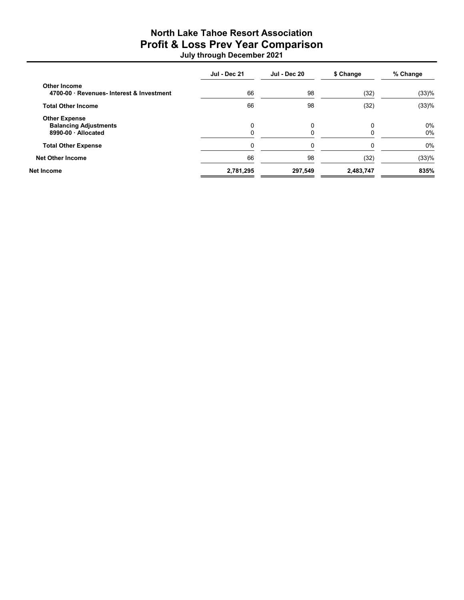## North Lake Tahoe Resort Association Profit & Loss Prev Year Comparison July through December 2021

|                                                                           | <b>Jul - Dec 21</b> | <b>Jul - Dec 20</b> | \$ Change | % Change       |
|---------------------------------------------------------------------------|---------------------|---------------------|-----------|----------------|
| <b>Other Income</b><br>4700-00 · Revenues- Interest & Investment          | 66                  | 98                  | (32)      | (33)%          |
| <b>Total Other Income</b>                                                 | 66                  | 98                  | (32)      | (33)%          |
| <b>Other Expense</b><br><b>Balancing Adjustments</b><br>8990-00 Allocated |                     | 0                   |           | $0\%$<br>$0\%$ |
| <b>Total Other Expense</b>                                                |                     | 0                   |           | $0\%$          |
| <b>Net Other Income</b>                                                   | 66                  | 98                  | (32)      | (33)%          |
| Net Income                                                                | 2,781,295           | 297,549             | 2,483,747 | 835%           |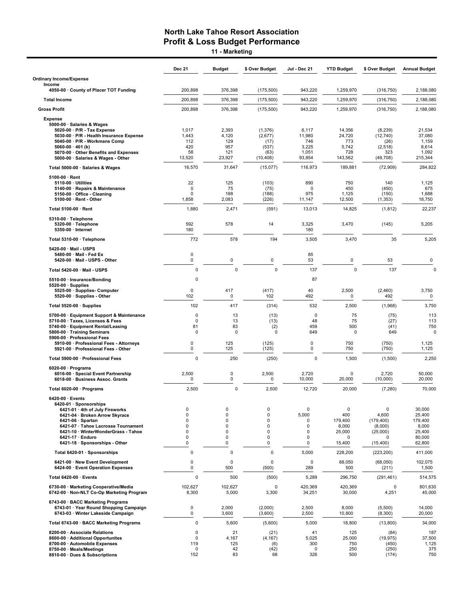11 - Marketing

|                                                                                                                                                                                                                                                                                | Dec 21                                                               | <b>Budget</b>                                                         | \$ Over Budget                               | Jul - Dec 21                             | <b>YTD Budget</b>                                     | \$ Over Budget                                                                     | <b>Annual Budget</b>                                               |
|--------------------------------------------------------------------------------------------------------------------------------------------------------------------------------------------------------------------------------------------------------------------------------|----------------------------------------------------------------------|-----------------------------------------------------------------------|----------------------------------------------|------------------------------------------|-------------------------------------------------------|------------------------------------------------------------------------------------|--------------------------------------------------------------------|
| <b>Ordinary Income/Expense</b><br>Income                                                                                                                                                                                                                                       |                                                                      |                                                                       |                                              |                                          |                                                       |                                                                                    |                                                                    |
| 4050-00 · County of Placer TOT Funding                                                                                                                                                                                                                                         | 200,898                                                              | 376,398                                                               | (175,500)                                    | 943,220                                  | 1,259,970                                             | (316, 750)                                                                         | 2,188,080                                                          |
| <b>Total Income</b>                                                                                                                                                                                                                                                            | 200,898                                                              | 376,398                                                               | (175,500)                                    | 943,220                                  | 1,259,970                                             | (316, 750)                                                                         | 2,188,080                                                          |
| <b>Gross Profit</b>                                                                                                                                                                                                                                                            | 200,898                                                              | 376.398                                                               | (175, 500)                                   | 943,220                                  | 1,259,970                                             | (316, 750)                                                                         | 2,188,080                                                          |
| <b>Expense</b>                                                                                                                                                                                                                                                                 |                                                                      |                                                                       |                                              |                                          |                                                       |                                                                                    |                                                                    |
| 5000-00 · Salaries & Wages<br>5020-00 · P/R - Tax Expense<br>5030-00 · P/R - Health Insurance Expense<br>5040-00 · P/R - Workmans Comp<br>$5060 - 00 \cdot 401$ (k)<br>5070-00 · Other Benefits and Expenses                                                                   | 1,017<br>1,443<br>112<br>420<br>58                                   | 2,393<br>4,120<br>129<br>957<br>121                                   | (1, 376)<br>(2,677)<br>(17)<br>(537)<br>(63) | 6,117<br>11,980<br>746<br>3,225<br>1,051 | 14,356<br>24,720<br>773<br>5,742<br>728               | (8, 239)<br>(12,740)<br>(26)<br>(2, 518)<br>323                                    | 21,534<br>37,080<br>1,159<br>8,614<br>1,092                        |
| 5000-00 · Salaries & Wages - Other                                                                                                                                                                                                                                             | 13,520                                                               | 23,927                                                                | (10, 408)                                    | 93,854                                   | 143,562                                               | (49,708)                                                                           | 215,344                                                            |
| Total 5000-00 · Salaries & Wages                                                                                                                                                                                                                                               | 16,570                                                               | 31,647                                                                | (15,077)                                     | 116,973                                  | 189,881                                               | (72,909)                                                                           | 284,822                                                            |
| $5100-00 \cdot$ Rent<br>$5110-00 \cdot$ Utilities<br>5140-00 · Repairs & Maintenance<br>5150-00 · Office - Cleaning<br>5100-00 · Rent - Other                                                                                                                                  | 22<br>$\mathsf 0$<br>$\mathbf 0$<br>1,858                            | 125<br>75<br>188<br>2,083                                             | (103)<br>(75)<br>(188)<br>(226)              | 890<br>0<br>975<br>11,147                | 750<br>450<br>1,125<br>12,500                         | 140<br>(450)<br>(150)<br>(1, 353)                                                  | 1,125<br>675<br>1,688<br>18,750                                    |
| Total 5100-00 · Rent                                                                                                                                                                                                                                                           | 1,880                                                                | 2,471                                                                 | (591)                                        | 13,013                                   | 14,825                                                | (1, 812)                                                                           | 22,237                                                             |
| 5310-00 · Telephone<br>5320-00 · Telephone<br>5350-00 · Internet                                                                                                                                                                                                               | 592<br>180                                                           | 578                                                                   | 14                                           | 3,325<br>180                             | 3,470                                                 | (145)                                                                              | 5,205                                                              |
| Total 5310-00 · Telephone                                                                                                                                                                                                                                                      | 772                                                                  | 578                                                                   | 194                                          | 3,505                                    | 3,470                                                 | 35                                                                                 | 5,205                                                              |
| 5420-00 · Mail - USPS<br>5480-00 Mail Fed Ex<br>5420-00 · Mail - USPS - Other                                                                                                                                                                                                  | $\mathsf 0$<br>0                                                     | 0                                                                     | 0                                            | 85<br>53                                 | 0                                                     | 53                                                                                 | 0                                                                  |
| Total 5420-00 · Mail - USPS                                                                                                                                                                                                                                                    | $\mathbf 0$                                                          | $\mathbf 0$                                                           | $\mathbf 0$                                  | 137                                      | $\mathbf 0$                                           | 137                                                                                | $\Omega$                                                           |
| 5510-00 · Insurance/Bonding<br>$5520-00 \cdot$ Supplies<br>5525-00 · Supplies- Computer                                                                                                                                                                                        | 0<br>0                                                               | 417                                                                   | (417)                                        | 87<br>40                                 | 2,500                                                 | (2,460)                                                                            | 3,750                                                              |
| 5520-00 · Supplies - Other                                                                                                                                                                                                                                                     | 102<br>102                                                           | 0<br>417                                                              | 102<br>(314)                                 | 492<br>532                               | 0<br>2,500                                            | 492<br>(1,968)                                                                     | $\mathbf 0$<br>3,750                                               |
| Total 5520-00 · Supplies<br>5700-00 · Equipment Support & Maintenance                                                                                                                                                                                                          | $\mathbf 0$                                                          | 13                                                                    | (13)                                         | $\mathbf 0$                              | 75                                                    | (75)                                                                               | 113                                                                |
| 5710-00 · Taxes, Licenses & Fees<br>5740-00 · Equipment Rental/Leasing<br>5800-00 · Training Seminars<br>5900-00 · Professional Fees                                                                                                                                           | $\mathbf 0$<br>81<br>$\mathbf 0$                                     | 13<br>83<br>$\mathbf 0$                                               | (13)<br>(2)<br>0                             | 48<br>459<br>649                         | 75<br>500<br>$\mathbf 0$                              | (27)<br>(41)<br>649                                                                | 113<br>750<br>$\Omega$                                             |
| 5910-00 · Professional Fees - Attorneys<br>5921-00 · Professional Fees - Other                                                                                                                                                                                                 | 0<br>0                                                               | 125<br>125                                                            | (125)<br>(125)                               | 0<br>0                                   | 750<br>750                                            | (750)<br>(750)                                                                     | 1,125<br>1,125                                                     |
| Total 5900-00 · Professional Fees                                                                                                                                                                                                                                              | $\mathbf 0$                                                          | 250                                                                   | (250)                                        | 0                                        | 1,500                                                 | (1,500)                                                                            | 2,250                                                              |
| 6020-00 $\cdot$ Programs<br>6016-00 · Special Event Partnership<br>6018-00 · Business Assoc. Grants                                                                                                                                                                            | 2,500<br>$\mathsf 0$                                                 | 0<br>0                                                                | 2,500<br>0                                   | 2,720<br>10,000                          | 0<br>20,000                                           | 2,720<br>(10,000)                                                                  | 50,000<br>20,000                                                   |
| Total 6020-00 · Programs                                                                                                                                                                                                                                                       | 2,500                                                                | $\mathbf 0$                                                           | 2,500                                        | 12,720                                   | 20,000                                                | (7, 280)                                                                           | 70,000                                                             |
| 6420-00 · Events<br>6420-01 · Sponsorships<br>6421-01 · 4th of July Fireworks<br>6421-04 · Broken Arrow Skyrace<br>$6421-06 \cdot$ Spartan<br>6421-07 · Tahoe Lacrosse Tournament<br>6421-10 · WinterWonderGrass - Tahoe<br>6421-17 · Enduro<br>6421-18 · Sponsorships - Other | 0<br>$\mathbf 0$<br>$\mathbf 0$<br>$\Omega$<br>$\mathbf 0$<br>0<br>0 | 0<br>$\mathbf 0$<br>$\mathbf 0$<br>$\mathbf 0$<br>0<br>$\pmb{0}$<br>0 | 0<br>0<br>0<br>$\overline{0}$<br>0<br>0<br>0 | 0<br>5,000<br>0<br>0<br>0<br>0<br>0      | 0<br>400<br>179.400<br>8,000<br>25,000<br>0<br>15,400 | $\mathbf 0$<br>4,600<br>(179, 400)<br>(8,000)<br>(25,000)<br>$\Omega$<br>(15, 400) | 30,000<br>25,400<br>179,400<br>8,000<br>25,400<br>80,000<br>62,800 |
| Total 6420-01 · Sponsorships                                                                                                                                                                                                                                                   | $\mathsf 0$                                                          | 0                                                                     | $\pmb{0}$                                    | 5,000                                    | 228,200                                               | (223, 200)                                                                         | 411,000                                                            |
| 6421-00 · New Event Development<br>6424-00 · Event Operation Expenses                                                                                                                                                                                                          | 0<br>$\mathbf 0$                                                     | 0<br>500                                                              | $\pmb{0}$<br>(500)                           | 0<br>289                                 | 68,050<br>500                                         | (68,050)<br>(211)                                                                  | 102,075<br>1,500                                                   |
| Total 6420-00 · Events                                                                                                                                                                                                                                                         | $\mathbf 0$                                                          | 500                                                                   | (500)                                        | 5,289                                    | 296,750                                               | (291, 461)                                                                         | 514,575                                                            |
| 6730-00 · Marketing Cooperative/Media<br>6742-00 · Non-NLT Co-Op Marketing Program                                                                                                                                                                                             | 102,627<br>8,300                                                     | 102,627<br>5,000                                                      | 0<br>3,300                                   | 420,369<br>34,251                        | 420,369<br>30,000                                     | 0<br>4,251                                                                         | 801,630<br>45,000                                                  |
| 6743-00 · BACC Marketing Programs<br>6743-01 · Year Round Shopping Campaign<br>6743-03 · Winter Lakeside Campaign                                                                                                                                                              | 0<br>$\mathbf 0$                                                     | 2,000<br>3,600                                                        | (2,000)<br>(3,600)                           | 2,500<br>2,500                           | 8,000<br>10,800                                       | (5,500)<br>(8,300)                                                                 | 14,000<br>20,000                                                   |
| Total 6743-00 · BACC Marketing Programs                                                                                                                                                                                                                                        | $\mathbf 0$                                                          | 5,600                                                                 | (5,600)                                      | 5,000                                    | 18,800                                                | (13,800)                                                                           | 34,000                                                             |
| 8200-00 · Associate Relations<br>8600-00 · Additional Opportunites<br>8700-00 · Automobile Expenses<br>8750-00 · Meals/Meetings<br>8810-00 · Dues & Subscriptions                                                                                                              | 0<br>$\mathbf 0$<br>119<br>0<br>152                                  | 21<br>4,167<br>125<br>42<br>83                                        | (21)<br>(4, 167)<br>(6)<br>(42)<br>68        | 41<br>5,025<br>300<br>0<br>326           | 125<br>25,000<br>750<br>250<br>500                    | (84)<br>(19, 975)<br>(450)<br>(250)<br>(174)                                       | 187<br>37,500<br>1,125<br>375<br>750                               |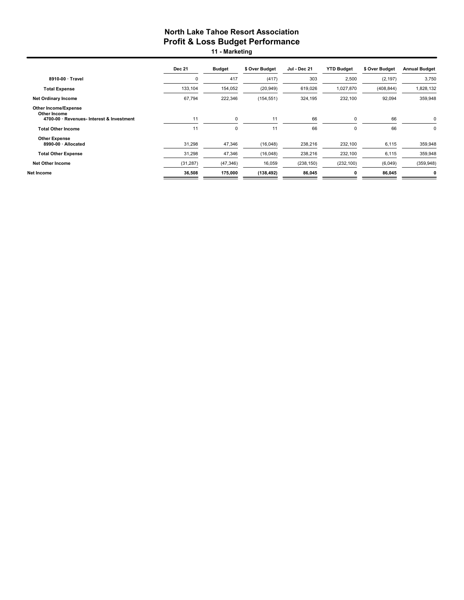11 - Marketing

|                                                                                          | <b>Dec 21</b> | <b>Budget</b> | \$ Over Budget | Jul - Dec 21 | <b>YTD Budget</b> | \$ Over Budget | <b>Annual Budget</b> |
|------------------------------------------------------------------------------------------|---------------|---------------|----------------|--------------|-------------------|----------------|----------------------|
| 8910-00 · Travel                                                                         | $\Omega$      | 417           | (417)          | 303          | 2,500             | (2, 197)       | 3,750                |
| <b>Total Expense</b>                                                                     | 133,104       | 154,052       | (20, 949)      | 619,026      | 1,027,870         | (408, 844)     | 1,828,132            |
| <b>Net Ordinary Income</b>                                                               | 67,794        | 222,346       | (154, 551)     | 324,195      | 232,100           | 92,094         | 359,948              |
| <b>Other Income/Expense</b><br>Other Income<br>4700-00 · Revenues- Interest & Investment | 11            | $\mathbf 0$   | 11             | 66           | $\mathbf 0$       | 66             | $\Omega$             |
| <b>Total Other Income</b>                                                                | 11            | 0             | 11             | 66           | $\Omega$          | 66             | $\mathbf 0$          |
| <b>Other Expense</b><br>8990-00 · Allocated                                              | 31,298        | 47,346        | (16,048)       | 238,216      | 232,100           | 6,115          | 359,948              |
| <b>Total Other Expense</b>                                                               | 31,298        | 47,346        | (16,048)       | 238,216      | 232,100           | 6,115          | 359,948              |
| Net Other Income                                                                         | (31, 287)     | (47, 346)     | 16,059         | (238, 150)   | (232, 100)        | (6,049)        | (359, 948)           |
| Net Income                                                                               | 36,508        | 175,000       | (138, 492)     | 86,045       | 0                 | 86,045         | 0                    |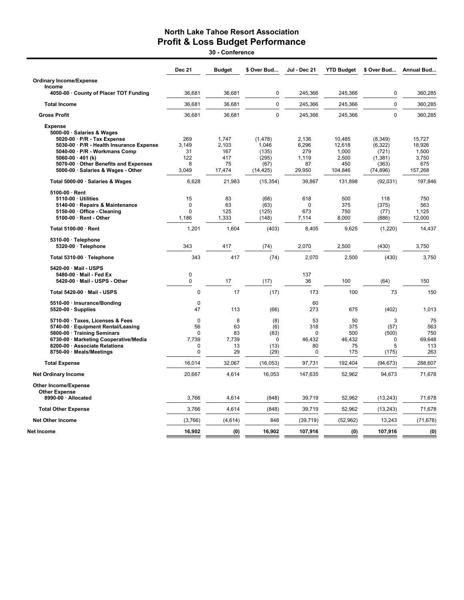30 - Conference

|                                                                                                                                                                                                             | <b>Dec 21</b>                          | <b>Budget</b>                      | \$ Over Bud                             | Jul - Dec 21                               | <b>YTD Budget</b>                       | \$ Over Bud                           | Annual Bud                               |
|-------------------------------------------------------------------------------------------------------------------------------------------------------------------------------------------------------------|----------------------------------------|------------------------------------|-----------------------------------------|--------------------------------------------|-----------------------------------------|---------------------------------------|------------------------------------------|
| <b>Ordinary Income/Expense</b>                                                                                                                                                                              |                                        |                                    |                                         |                                            |                                         |                                       |                                          |
| Income<br>4050-00 · County of Placer TOT Funding                                                                                                                                                            | 36,681                                 | 36,681                             | $\mathbf 0$                             | 245,366                                    | 245,366                                 | 0                                     | 360,285                                  |
| <b>Total Income</b>                                                                                                                                                                                         | 36,681                                 | 36,681                             | $\mathbf 0$                             | 245,366                                    | 245,366                                 | $\overline{0}$                        | 360,285                                  |
| <b>Gross Profit</b>                                                                                                                                                                                         | 36,681                                 | 36,681                             | $\Omega$                                | 245,366                                    | 245,366                                 | $\Omega$                              | 360,285                                  |
| <b>Expense</b><br>5000-00 · Salaries & Wages<br>5020-00 · P/R - Tax Expense<br>5030-00 · P/R - Health Insurance Expense<br>5040-00 · P/R - Workmans Comp                                                    | 269<br>3.149<br>31                     | 1.747<br>2,103<br>167              | (1, 478)<br>1,046<br>(135)              | 2,136<br>6,296<br>279                      | 10,485<br>12,618<br>1,000               | (8, 349)<br>(6, 322)<br>(721)         | 15,727<br>18,926<br>1,500                |
| 5060-00 $\cdot$ 401 (k)<br>5070-00 Other Benefits and Expenses<br>5000-00 · Salaries & Wages - Other                                                                                                        | 122<br>8<br>3,049                      | 417<br>75<br>17,474                | (295)<br>(67)<br>(14, 425)              | 1.119<br>87<br>29,950                      | 2,500<br>450<br>104,846                 | (1, 381)<br>(363)<br>(74, 896)        | 3,750<br>675<br>157,268                  |
| Total 5000-00 · Salaries & Wages                                                                                                                                                                            | 6,628                                  | 21,983                             | (15, 354)                               | 39,867                                     | 131,898                                 | (92,031)                              | 197,846                                  |
| $5100-00 \cdot$ Rent<br>5110-00 · Utilities<br>5140-00 · Repairs & Maintenance<br>5150-00 · Office - Cleaning<br>5100-00 · Rent - Other                                                                     | 15<br>0<br>$\Omega$<br>1,186           | 83<br>63<br>125<br>1,333           | (68)<br>(63)<br>(125)<br>(148)          | 618<br>$\Omega$<br>673<br>7,114            | 500<br>375<br>750<br>8,000              | 118<br>(375)<br>(77)<br>(886)         | 750<br>563<br>1,125<br>12,000            |
| Total 5100-00 · Rent                                                                                                                                                                                        | 1,201                                  | 1,604                              | (403)                                   | 8,405                                      | 9,625                                   | (1,220)                               | 14,437                                   |
| 5310-00 · Telephone<br>5320-00 · Telephone                                                                                                                                                                  | 343                                    | 417                                | (74)                                    | 2.070                                      | 2,500                                   | (430)                                 | 3,750                                    |
| Total 5310-00 · Telephone                                                                                                                                                                                   | 343                                    | 417                                | (74)                                    | 2,070                                      | 2,500                                   | (430)                                 | 3,750                                    |
| 5420-00 · Mail - USPS<br>5480-00 · Mail - Fed Ex<br>5420-00 · Mail - USPS - Other                                                                                                                           | $\mathbf 0$<br>0                       | 17                                 | (17)                                    | 137<br>36                                  | 100                                     | (64)                                  | 150                                      |
| Total 5420-00 · Mail - USPS                                                                                                                                                                                 | $\mathbf 0$                            | 17                                 | (17)                                    | 173                                        | 100                                     | 73                                    | 150                                      |
| 5510-00 · Insurance/Bonding<br>$5520-00 \cdot$ Supplies                                                                                                                                                     | 0<br>47                                | 113                                | (66)                                    | 60<br>273                                  | 675                                     | (402)                                 | 1,013                                    |
| 5710-00 · Taxes, Licenses & Fees<br>5740-00 · Equipment Rental/Leasing<br>5800-00 · Training Seminars<br>6730-00 · Marketing Cooperative/Media<br>8200-00 · Associate Relations<br>8750-00 · Meals/Meetings | 0<br>56<br>$\Omega$<br>7,739<br>0<br>0 | 8<br>63<br>83<br>7,739<br>13<br>29 | (8)<br>(6)<br>(83)<br>0<br>(13)<br>(29) | 53<br>318<br>$\Omega$<br>46,432<br>80<br>0 | 50<br>375<br>500<br>46,432<br>75<br>175 | 3<br>(57)<br>(500)<br>0<br>5<br>(175) | 75<br>563<br>750<br>69,648<br>113<br>263 |
| <b>Total Expense</b>                                                                                                                                                                                        | 16,014                                 | 32,067                             | (16, 053)                               | 97,731                                     | 192,404                                 | (94, 673)                             | 288,607                                  |
| <b>Net Ordinary Income</b>                                                                                                                                                                                  | 20,667                                 | 4,614                              | 16,053                                  | 147,635                                    | 52,962                                  | 94,673                                | 71,678                                   |
| <b>Other Income/Expense</b><br><b>Other Expense</b>                                                                                                                                                         |                                        |                                    |                                         |                                            |                                         |                                       |                                          |
| 8990-00 · Allocated                                                                                                                                                                                         | 3,766                                  | 4,614                              | (848)                                   | 39,719                                     | 52,962                                  | (13, 243)                             | 71,678                                   |
| <b>Total Other Expense</b>                                                                                                                                                                                  | 3,766                                  | 4,614                              | (848)                                   | 39,719                                     | 52,962                                  | (13, 243)                             | 71,678                                   |
| <b>Net Other Income</b>                                                                                                                                                                                     | (3,766)                                | (4,614)                            | 848                                     | (39, 719)                                  | (52, 962)                               | 13,243                                | (71, 678)                                |
| Net Income                                                                                                                                                                                                  | 16,902                                 | (0)                                | 16,902                                  | 107,916                                    | (0)                                     | 107,916                               | (0)                                      |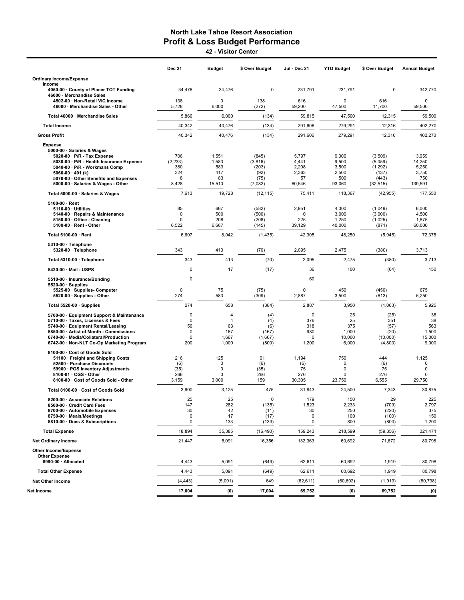42 - Visitor Center

| <b>Ordinary Income/Expense</b><br>Income<br>4050-00 · County of Placer TOT Funding<br>34,476<br>34,476<br>0<br>231,791<br>231,791<br>$\mathbf 0$<br>342,770<br>46000 · Merchandise Sales<br>138<br>$\mathbf 0$<br>138<br>616<br>616<br>4502-00 · Non-Retail VIC income<br>$\Omega$<br>$\mathbf 0$<br>6,000<br>5,728<br>(272)<br>59,200<br>47,500<br>11,700<br>59,500<br>46000 · Merchandise Sales - Other<br>5,866<br>6,000<br>(134)<br>59,815<br>47,500<br>12,315<br>59,500<br>Total 46000 · Merchandise Sales<br>40,342<br>40,476<br>(134)<br>12,316<br>291,606<br>279,291<br><b>Total Income</b><br>40,342<br>40,476<br>(134)<br>291,606<br>279,291<br>12,316<br><b>Gross Profit</b><br><b>Expense</b><br>5000-00 · Salaries & Wages<br>706<br>1,551<br>5,797<br>9,306<br>13,959<br>5020-00 · P/R - Tax Expense<br>(845)<br>(3,509)<br>5030-00 · P/R - Health Insurance Expense<br>(2, 233)<br>1,583<br>(3,816)<br>4,441<br>9,500<br>(5,059)<br>14,250<br>380<br>583<br>(203)<br>2,208<br>3,500<br>5,250<br>5040-00 · P/R - Workmans Comp<br>(1,292)<br>324<br>417<br>(92)<br>2,363<br>2,500<br>3,750<br>5060-00 $\cdot$ 401 (k)<br>(137)<br>8<br>83<br>(75)<br>500<br>5070-00 · Other Benefits and Expenses<br>57<br>(443)<br>750<br>5000-00 · Salaries & Wages - Other<br>8,428<br>15,510<br>60,546<br>93,060<br>(7,082)<br>(32, 515)<br>139,591<br>7,613<br>19,728<br>75,411<br>118,367<br>Total 5000-00 · Salaries & Wages<br>(12, 115)<br>(42, 955)<br>5100-00 · Rent<br>85<br>667<br>(582)<br>2,951<br>4,000<br>(1,049)<br>6,000<br>5110-00 · Utilities<br>500<br>0<br>(500)<br>3,000<br>4,500<br>5140-00 · Repairs & Maintenance<br>0<br>(3,000)<br>0<br>208<br>225<br>1,250<br>(208)<br>(1,025)<br>1,875<br>5150-00 Office - Cleaning<br>5100-00 · Rent - Other<br>6,522<br>6,667<br>39,129<br>40,000<br>60,000<br>(145)<br>(871)<br>Total 5100-00 · Rent<br>6,607<br>8,042<br>42,305<br>48,250<br>(1, 435)<br>(5,945)<br>5310-00 · Telephone<br>343<br>413<br>(70)<br>2,095<br>2,475<br>(380)<br>3,713<br>5320-00 · Telephone<br>343<br>413<br>(70)<br>2,095<br>2,475<br>(380)<br>Total 5310-00 · Telephone<br>17<br>5420-00 · Mail - USPS<br>$\mathbf 0$<br>(17)<br>36<br>100<br>(64)<br>0<br>60<br>5510-00 · Insurance/Bonding<br>$5520-00 \cdot$ Supplies<br>0<br>75<br>(75)<br>0<br>450<br>675<br>5525-00 · Supplies- Computer<br>(450)<br>274<br>583<br>5520-00 · Supplies - Other<br>(309)<br>2,887<br>3,500<br>(613)<br>5,250<br>274<br>658<br>(384)<br>2,887<br>3,950<br>(1,063)<br>Total 5520-00 · Supplies<br>$\mathbf 0$<br>0<br>25<br>(25)<br>5700-00 · Equipment Support & Maintenance<br>$\overline{4}$<br>(4)<br>0<br>$\overline{4}$<br>(4)<br>376<br>25<br>351<br>5710-00 · Taxes, Licenses & Fees<br>56<br>5740-00 · Equipment Rental/Leasing<br>63<br>(6)<br>318<br>375<br>(57)<br>(167)<br>980<br>1,000<br>(20)<br>5850-00 · Artist of Month - Commissions<br>0<br>167<br>$\Omega$<br>1,667<br>(1,667)<br>10,000<br>(10,000)<br>15,000<br>6740-00 · Media/Collateral/Production<br>$\Omega$<br>200<br>1,000<br>(800)<br>1,200<br>6,000<br>(4,800)<br>6742-00 · Non-NLT Co-Op Marketing Program<br>8100-00 · Cost of Goods Sold<br>216<br>125<br>91<br>1,194<br>750<br>444<br>1,125<br>51100 · Freight and Shipping Costs<br>52500 · Purchase Discounts<br>(6)<br>0<br>(6)<br>(6)<br>$\mathbf 0$<br>(6)<br>0<br>59900 · POS Inventory Adjustments<br>(35)<br>$\mathbf 0$<br>(35)<br>75<br>75<br>$\mathbf 0$<br>$\Omega$<br>266<br>266<br>276<br>276<br>8100-01 · CGS - Other<br>0<br>$\mathbf 0$<br>0<br>8100-00 · Cost of Goods Sold - Other<br>3,000<br>159<br>30,305<br>6,555<br>3,159<br>23,750<br>29,750<br>3,600<br>3,125<br>475<br>31,843<br>24,500<br>7,343<br>30,875<br>Total 8100-00 · Cost of Goods Sold<br>25<br>25<br>0<br>179<br>150<br>29<br>8200-00 · Associate Relations<br>8500-00 · Credit Card Fees<br>1,523<br>2,233<br>147<br>282<br>(135)<br>(709)<br>30<br>30<br>(220)<br>8700-00 · Automobile Expenses<br>42<br>250<br>(11)<br>8750-00 · Meals/Meetings<br>0<br>17<br>0<br>100<br>(17)<br>(100)<br>0<br>133<br>0<br>800<br>(800)<br>8810-00 · Dues & Subscriptions<br>(133)<br>159,243<br><b>Total Expense</b><br>18,894<br>35,385<br>(16, 490)<br>218,599<br>(59, 356)<br><b>Net Ordinary Income</b><br>21,447<br>5,091<br>16,356<br>132,363<br>60,692<br>71,672<br>Other Income/Expense<br><b>Other Expense</b><br>8990-00 · Allocated<br>5,091<br>4,443<br>(649)<br>62,611<br>60,692<br>1,919<br>60,692<br>4,443<br>5,091<br>(649)<br>62,611<br>1,919<br><b>Total Other Expense</b><br><b>Net Other Income</b><br>(4, 443)<br>(5,091)<br>649<br>(62,611)<br>(60, 692)<br>(1, 919)<br>Net Income<br>17,004<br>(0)<br>17,004<br>69,752<br>69,752<br>(0) | <b>Dec 21</b> | <b>Budget</b> | \$ Over Budget | Jul - Dec 21 | <b>YTD Budget</b> | \$ Over Budget | <b>Annual Budget</b>                |
|-----------------------------------------------------------------------------------------------------------------------------------------------------------------------------------------------------------------------------------------------------------------------------------------------------------------------------------------------------------------------------------------------------------------------------------------------------------------------------------------------------------------------------------------------------------------------------------------------------------------------------------------------------------------------------------------------------------------------------------------------------------------------------------------------------------------------------------------------------------------------------------------------------------------------------------------------------------------------------------------------------------------------------------------------------------------------------------------------------------------------------------------------------------------------------------------------------------------------------------------------------------------------------------------------------------------------------------------------------------------------------------------------------------------------------------------------------------------------------------------------------------------------------------------------------------------------------------------------------------------------------------------------------------------------------------------------------------------------------------------------------------------------------------------------------------------------------------------------------------------------------------------------------------------------------------------------------------------------------------------------------------------------------------------------------------------------------------------------------------------------------------------------------------------------------------------------------------------------------------------------------------------------------------------------------------------------------------------------------------------------------------------------------------------------------------------------------------------------------------------------------------------------------------------------------------------------------------------------------------------------------------------------------------------------------------------------------------------------------------------------------------------------------------------------------------------------------------------------------------------------------------------------------------------------------------------------------------------------------------------------------------------------------------------------------------------------------------------------------------------------------------------------------------------------------------------------------------------------------------------------------------------------------------------------------------------------------------------------------------------------------------------------------------------------------------------------------------------------------------------------------------------------------------------------------------------------------------------------------------------------------------------------------------------------------------------------------------------------------------------------------------------------------------------------------------------------------------------------------------------------------------------------------------------------------------------------------------------------------------------------------------------------------------------------------------------------------------------------------------------------------------------------------------------------------------------------------------------------------------------------------------------------------------------------------------------------------------------------------------------------------------------------------------------------------------------------------------------------------------------------------------------------------------------------------------------------------------------------------------------------------------------------------------------------------------------------------------------|---------------|---------------|----------------|--------------|-------------------|----------------|-------------------------------------|
|                                                                                                                                                                                                                                                                                                                                                                                                                                                                                                                                                                                                                                                                                                                                                                                                                                                                                                                                                                                                                                                                                                                                                                                                                                                                                                                                                                                                                                                                                                                                                                                                                                                                                                                                                                                                                                                                                                                                                                                                                                                                                                                                                                                                                                                                                                                                                                                                                                                                                                                                                                                                                                                                                                                                                                                                                                                                                                                                                                                                                                                                                                                                                                                                                                                                                                                                                                                                                                                                                                                                                                                                                                                                                                                                                                                                                                                                                                                                                                                                                                                                                                                                                                                                                                                                                                                                                                                                                                                                                                                                                                                                                                                                                                                 |               |               |                |              |                   |                |                                     |
|                                                                                                                                                                                                                                                                                                                                                                                                                                                                                                                                                                                                                                                                                                                                                                                                                                                                                                                                                                                                                                                                                                                                                                                                                                                                                                                                                                                                                                                                                                                                                                                                                                                                                                                                                                                                                                                                                                                                                                                                                                                                                                                                                                                                                                                                                                                                                                                                                                                                                                                                                                                                                                                                                                                                                                                                                                                                                                                                                                                                                                                                                                                                                                                                                                                                                                                                                                                                                                                                                                                                                                                                                                                                                                                                                                                                                                                                                                                                                                                                                                                                                                                                                                                                                                                                                                                                                                                                                                                                                                                                                                                                                                                                                                                 |               |               |                |              |                   |                |                                     |
|                                                                                                                                                                                                                                                                                                                                                                                                                                                                                                                                                                                                                                                                                                                                                                                                                                                                                                                                                                                                                                                                                                                                                                                                                                                                                                                                                                                                                                                                                                                                                                                                                                                                                                                                                                                                                                                                                                                                                                                                                                                                                                                                                                                                                                                                                                                                                                                                                                                                                                                                                                                                                                                                                                                                                                                                                                                                                                                                                                                                                                                                                                                                                                                                                                                                                                                                                                                                                                                                                                                                                                                                                                                                                                                                                                                                                                                                                                                                                                                                                                                                                                                                                                                                                                                                                                                                                                                                                                                                                                                                                                                                                                                                                                                 |               |               |                |              |                   |                |                                     |
|                                                                                                                                                                                                                                                                                                                                                                                                                                                                                                                                                                                                                                                                                                                                                                                                                                                                                                                                                                                                                                                                                                                                                                                                                                                                                                                                                                                                                                                                                                                                                                                                                                                                                                                                                                                                                                                                                                                                                                                                                                                                                                                                                                                                                                                                                                                                                                                                                                                                                                                                                                                                                                                                                                                                                                                                                                                                                                                                                                                                                                                                                                                                                                                                                                                                                                                                                                                                                                                                                                                                                                                                                                                                                                                                                                                                                                                                                                                                                                                                                                                                                                                                                                                                                                                                                                                                                                                                                                                                                                                                                                                                                                                                                                                 |               |               |                |              |                   |                |                                     |
|                                                                                                                                                                                                                                                                                                                                                                                                                                                                                                                                                                                                                                                                                                                                                                                                                                                                                                                                                                                                                                                                                                                                                                                                                                                                                                                                                                                                                                                                                                                                                                                                                                                                                                                                                                                                                                                                                                                                                                                                                                                                                                                                                                                                                                                                                                                                                                                                                                                                                                                                                                                                                                                                                                                                                                                                                                                                                                                                                                                                                                                                                                                                                                                                                                                                                                                                                                                                                                                                                                                                                                                                                                                                                                                                                                                                                                                                                                                                                                                                                                                                                                                                                                                                                                                                                                                                                                                                                                                                                                                                                                                                                                                                                                                 |               |               |                |              |                   |                | 402,270                             |
|                                                                                                                                                                                                                                                                                                                                                                                                                                                                                                                                                                                                                                                                                                                                                                                                                                                                                                                                                                                                                                                                                                                                                                                                                                                                                                                                                                                                                                                                                                                                                                                                                                                                                                                                                                                                                                                                                                                                                                                                                                                                                                                                                                                                                                                                                                                                                                                                                                                                                                                                                                                                                                                                                                                                                                                                                                                                                                                                                                                                                                                                                                                                                                                                                                                                                                                                                                                                                                                                                                                                                                                                                                                                                                                                                                                                                                                                                                                                                                                                                                                                                                                                                                                                                                                                                                                                                                                                                                                                                                                                                                                                                                                                                                                 |               |               |                |              |                   |                | 402,270                             |
|                                                                                                                                                                                                                                                                                                                                                                                                                                                                                                                                                                                                                                                                                                                                                                                                                                                                                                                                                                                                                                                                                                                                                                                                                                                                                                                                                                                                                                                                                                                                                                                                                                                                                                                                                                                                                                                                                                                                                                                                                                                                                                                                                                                                                                                                                                                                                                                                                                                                                                                                                                                                                                                                                                                                                                                                                                                                                                                                                                                                                                                                                                                                                                                                                                                                                                                                                                                                                                                                                                                                                                                                                                                                                                                                                                                                                                                                                                                                                                                                                                                                                                                                                                                                                                                                                                                                                                                                                                                                                                                                                                                                                                                                                                                 |               |               |                |              |                   |                |                                     |
|                                                                                                                                                                                                                                                                                                                                                                                                                                                                                                                                                                                                                                                                                                                                                                                                                                                                                                                                                                                                                                                                                                                                                                                                                                                                                                                                                                                                                                                                                                                                                                                                                                                                                                                                                                                                                                                                                                                                                                                                                                                                                                                                                                                                                                                                                                                                                                                                                                                                                                                                                                                                                                                                                                                                                                                                                                                                                                                                                                                                                                                                                                                                                                                                                                                                                                                                                                                                                                                                                                                                                                                                                                                                                                                                                                                                                                                                                                                                                                                                                                                                                                                                                                                                                                                                                                                                                                                                                                                                                                                                                                                                                                                                                                                 |               |               |                |              |                   |                | 177,550                             |
|                                                                                                                                                                                                                                                                                                                                                                                                                                                                                                                                                                                                                                                                                                                                                                                                                                                                                                                                                                                                                                                                                                                                                                                                                                                                                                                                                                                                                                                                                                                                                                                                                                                                                                                                                                                                                                                                                                                                                                                                                                                                                                                                                                                                                                                                                                                                                                                                                                                                                                                                                                                                                                                                                                                                                                                                                                                                                                                                                                                                                                                                                                                                                                                                                                                                                                                                                                                                                                                                                                                                                                                                                                                                                                                                                                                                                                                                                                                                                                                                                                                                                                                                                                                                                                                                                                                                                                                                                                                                                                                                                                                                                                                                                                                 |               |               |                |              |                   |                |                                     |
|                                                                                                                                                                                                                                                                                                                                                                                                                                                                                                                                                                                                                                                                                                                                                                                                                                                                                                                                                                                                                                                                                                                                                                                                                                                                                                                                                                                                                                                                                                                                                                                                                                                                                                                                                                                                                                                                                                                                                                                                                                                                                                                                                                                                                                                                                                                                                                                                                                                                                                                                                                                                                                                                                                                                                                                                                                                                                                                                                                                                                                                                                                                                                                                                                                                                                                                                                                                                                                                                                                                                                                                                                                                                                                                                                                                                                                                                                                                                                                                                                                                                                                                                                                                                                                                                                                                                                                                                                                                                                                                                                                                                                                                                                                                 |               |               |                |              |                   |                | 72,375                              |
|                                                                                                                                                                                                                                                                                                                                                                                                                                                                                                                                                                                                                                                                                                                                                                                                                                                                                                                                                                                                                                                                                                                                                                                                                                                                                                                                                                                                                                                                                                                                                                                                                                                                                                                                                                                                                                                                                                                                                                                                                                                                                                                                                                                                                                                                                                                                                                                                                                                                                                                                                                                                                                                                                                                                                                                                                                                                                                                                                                                                                                                                                                                                                                                                                                                                                                                                                                                                                                                                                                                                                                                                                                                                                                                                                                                                                                                                                                                                                                                                                                                                                                                                                                                                                                                                                                                                                                                                                                                                                                                                                                                                                                                                                                                 |               |               |                |              |                   |                |                                     |
|                                                                                                                                                                                                                                                                                                                                                                                                                                                                                                                                                                                                                                                                                                                                                                                                                                                                                                                                                                                                                                                                                                                                                                                                                                                                                                                                                                                                                                                                                                                                                                                                                                                                                                                                                                                                                                                                                                                                                                                                                                                                                                                                                                                                                                                                                                                                                                                                                                                                                                                                                                                                                                                                                                                                                                                                                                                                                                                                                                                                                                                                                                                                                                                                                                                                                                                                                                                                                                                                                                                                                                                                                                                                                                                                                                                                                                                                                                                                                                                                                                                                                                                                                                                                                                                                                                                                                                                                                                                                                                                                                                                                                                                                                                                 |               |               |                |              |                   |                | 3,713                               |
|                                                                                                                                                                                                                                                                                                                                                                                                                                                                                                                                                                                                                                                                                                                                                                                                                                                                                                                                                                                                                                                                                                                                                                                                                                                                                                                                                                                                                                                                                                                                                                                                                                                                                                                                                                                                                                                                                                                                                                                                                                                                                                                                                                                                                                                                                                                                                                                                                                                                                                                                                                                                                                                                                                                                                                                                                                                                                                                                                                                                                                                                                                                                                                                                                                                                                                                                                                                                                                                                                                                                                                                                                                                                                                                                                                                                                                                                                                                                                                                                                                                                                                                                                                                                                                                                                                                                                                                                                                                                                                                                                                                                                                                                                                                 |               |               |                |              |                   |                | 150                                 |
|                                                                                                                                                                                                                                                                                                                                                                                                                                                                                                                                                                                                                                                                                                                                                                                                                                                                                                                                                                                                                                                                                                                                                                                                                                                                                                                                                                                                                                                                                                                                                                                                                                                                                                                                                                                                                                                                                                                                                                                                                                                                                                                                                                                                                                                                                                                                                                                                                                                                                                                                                                                                                                                                                                                                                                                                                                                                                                                                                                                                                                                                                                                                                                                                                                                                                                                                                                                                                                                                                                                                                                                                                                                                                                                                                                                                                                                                                                                                                                                                                                                                                                                                                                                                                                                                                                                                                                                                                                                                                                                                                                                                                                                                                                                 |               |               |                |              |                   |                |                                     |
|                                                                                                                                                                                                                                                                                                                                                                                                                                                                                                                                                                                                                                                                                                                                                                                                                                                                                                                                                                                                                                                                                                                                                                                                                                                                                                                                                                                                                                                                                                                                                                                                                                                                                                                                                                                                                                                                                                                                                                                                                                                                                                                                                                                                                                                                                                                                                                                                                                                                                                                                                                                                                                                                                                                                                                                                                                                                                                                                                                                                                                                                                                                                                                                                                                                                                                                                                                                                                                                                                                                                                                                                                                                                                                                                                                                                                                                                                                                                                                                                                                                                                                                                                                                                                                                                                                                                                                                                                                                                                                                                                                                                                                                                                                                 |               |               |                |              |                   |                |                                     |
|                                                                                                                                                                                                                                                                                                                                                                                                                                                                                                                                                                                                                                                                                                                                                                                                                                                                                                                                                                                                                                                                                                                                                                                                                                                                                                                                                                                                                                                                                                                                                                                                                                                                                                                                                                                                                                                                                                                                                                                                                                                                                                                                                                                                                                                                                                                                                                                                                                                                                                                                                                                                                                                                                                                                                                                                                                                                                                                                                                                                                                                                                                                                                                                                                                                                                                                                                                                                                                                                                                                                                                                                                                                                                                                                                                                                                                                                                                                                                                                                                                                                                                                                                                                                                                                                                                                                                                                                                                                                                                                                                                                                                                                                                                                 |               |               |                |              |                   |                | 5,925                               |
|                                                                                                                                                                                                                                                                                                                                                                                                                                                                                                                                                                                                                                                                                                                                                                                                                                                                                                                                                                                                                                                                                                                                                                                                                                                                                                                                                                                                                                                                                                                                                                                                                                                                                                                                                                                                                                                                                                                                                                                                                                                                                                                                                                                                                                                                                                                                                                                                                                                                                                                                                                                                                                                                                                                                                                                                                                                                                                                                                                                                                                                                                                                                                                                                                                                                                                                                                                                                                                                                                                                                                                                                                                                                                                                                                                                                                                                                                                                                                                                                                                                                                                                                                                                                                                                                                                                                                                                                                                                                                                                                                                                                                                                                                                                 |               |               |                |              |                   |                | 38<br>38<br>563<br>1,500<br>9,000   |
|                                                                                                                                                                                                                                                                                                                                                                                                                                                                                                                                                                                                                                                                                                                                                                                                                                                                                                                                                                                                                                                                                                                                                                                                                                                                                                                                                                                                                                                                                                                                                                                                                                                                                                                                                                                                                                                                                                                                                                                                                                                                                                                                                                                                                                                                                                                                                                                                                                                                                                                                                                                                                                                                                                                                                                                                                                                                                                                                                                                                                                                                                                                                                                                                                                                                                                                                                                                                                                                                                                                                                                                                                                                                                                                                                                                                                                                                                                                                                                                                                                                                                                                                                                                                                                                                                                                                                                                                                                                                                                                                                                                                                                                                                                                 |               |               |                |              |                   |                |                                     |
|                                                                                                                                                                                                                                                                                                                                                                                                                                                                                                                                                                                                                                                                                                                                                                                                                                                                                                                                                                                                                                                                                                                                                                                                                                                                                                                                                                                                                                                                                                                                                                                                                                                                                                                                                                                                                                                                                                                                                                                                                                                                                                                                                                                                                                                                                                                                                                                                                                                                                                                                                                                                                                                                                                                                                                                                                                                                                                                                                                                                                                                                                                                                                                                                                                                                                                                                                                                                                                                                                                                                                                                                                                                                                                                                                                                                                                                                                                                                                                                                                                                                                                                                                                                                                                                                                                                                                                                                                                                                                                                                                                                                                                                                                                                 |               |               |                |              |                   |                |                                     |
|                                                                                                                                                                                                                                                                                                                                                                                                                                                                                                                                                                                                                                                                                                                                                                                                                                                                                                                                                                                                                                                                                                                                                                                                                                                                                                                                                                                                                                                                                                                                                                                                                                                                                                                                                                                                                                                                                                                                                                                                                                                                                                                                                                                                                                                                                                                                                                                                                                                                                                                                                                                                                                                                                                                                                                                                                                                                                                                                                                                                                                                                                                                                                                                                                                                                                                                                                                                                                                                                                                                                                                                                                                                                                                                                                                                                                                                                                                                                                                                                                                                                                                                                                                                                                                                                                                                                                                                                                                                                                                                                                                                                                                                                                                                 |               |               |                |              |                   |                | 225<br>2,797<br>375<br>150<br>1,200 |
|                                                                                                                                                                                                                                                                                                                                                                                                                                                                                                                                                                                                                                                                                                                                                                                                                                                                                                                                                                                                                                                                                                                                                                                                                                                                                                                                                                                                                                                                                                                                                                                                                                                                                                                                                                                                                                                                                                                                                                                                                                                                                                                                                                                                                                                                                                                                                                                                                                                                                                                                                                                                                                                                                                                                                                                                                                                                                                                                                                                                                                                                                                                                                                                                                                                                                                                                                                                                                                                                                                                                                                                                                                                                                                                                                                                                                                                                                                                                                                                                                                                                                                                                                                                                                                                                                                                                                                                                                                                                                                                                                                                                                                                                                                                 |               |               |                |              |                   |                | 321,471                             |
|                                                                                                                                                                                                                                                                                                                                                                                                                                                                                                                                                                                                                                                                                                                                                                                                                                                                                                                                                                                                                                                                                                                                                                                                                                                                                                                                                                                                                                                                                                                                                                                                                                                                                                                                                                                                                                                                                                                                                                                                                                                                                                                                                                                                                                                                                                                                                                                                                                                                                                                                                                                                                                                                                                                                                                                                                                                                                                                                                                                                                                                                                                                                                                                                                                                                                                                                                                                                                                                                                                                                                                                                                                                                                                                                                                                                                                                                                                                                                                                                                                                                                                                                                                                                                                                                                                                                                                                                                                                                                                                                                                                                                                                                                                                 |               |               |                |              |                   |                | 80,798                              |
|                                                                                                                                                                                                                                                                                                                                                                                                                                                                                                                                                                                                                                                                                                                                                                                                                                                                                                                                                                                                                                                                                                                                                                                                                                                                                                                                                                                                                                                                                                                                                                                                                                                                                                                                                                                                                                                                                                                                                                                                                                                                                                                                                                                                                                                                                                                                                                                                                                                                                                                                                                                                                                                                                                                                                                                                                                                                                                                                                                                                                                                                                                                                                                                                                                                                                                                                                                                                                                                                                                                                                                                                                                                                                                                                                                                                                                                                                                                                                                                                                                                                                                                                                                                                                                                                                                                                                                                                                                                                                                                                                                                                                                                                                                                 |               |               |                |              |                   |                | 80,798                              |
|                                                                                                                                                                                                                                                                                                                                                                                                                                                                                                                                                                                                                                                                                                                                                                                                                                                                                                                                                                                                                                                                                                                                                                                                                                                                                                                                                                                                                                                                                                                                                                                                                                                                                                                                                                                                                                                                                                                                                                                                                                                                                                                                                                                                                                                                                                                                                                                                                                                                                                                                                                                                                                                                                                                                                                                                                                                                                                                                                                                                                                                                                                                                                                                                                                                                                                                                                                                                                                                                                                                                                                                                                                                                                                                                                                                                                                                                                                                                                                                                                                                                                                                                                                                                                                                                                                                                                                                                                                                                                                                                                                                                                                                                                                                 |               |               |                |              |                   |                | 80,798                              |
|                                                                                                                                                                                                                                                                                                                                                                                                                                                                                                                                                                                                                                                                                                                                                                                                                                                                                                                                                                                                                                                                                                                                                                                                                                                                                                                                                                                                                                                                                                                                                                                                                                                                                                                                                                                                                                                                                                                                                                                                                                                                                                                                                                                                                                                                                                                                                                                                                                                                                                                                                                                                                                                                                                                                                                                                                                                                                                                                                                                                                                                                                                                                                                                                                                                                                                                                                                                                                                                                                                                                                                                                                                                                                                                                                                                                                                                                                                                                                                                                                                                                                                                                                                                                                                                                                                                                                                                                                                                                                                                                                                                                                                                                                                                 |               |               |                |              |                   |                | (80, 798)                           |
|                                                                                                                                                                                                                                                                                                                                                                                                                                                                                                                                                                                                                                                                                                                                                                                                                                                                                                                                                                                                                                                                                                                                                                                                                                                                                                                                                                                                                                                                                                                                                                                                                                                                                                                                                                                                                                                                                                                                                                                                                                                                                                                                                                                                                                                                                                                                                                                                                                                                                                                                                                                                                                                                                                                                                                                                                                                                                                                                                                                                                                                                                                                                                                                                                                                                                                                                                                                                                                                                                                                                                                                                                                                                                                                                                                                                                                                                                                                                                                                                                                                                                                                                                                                                                                                                                                                                                                                                                                                                                                                                                                                                                                                                                                                 |               |               |                |              |                   |                | (0)                                 |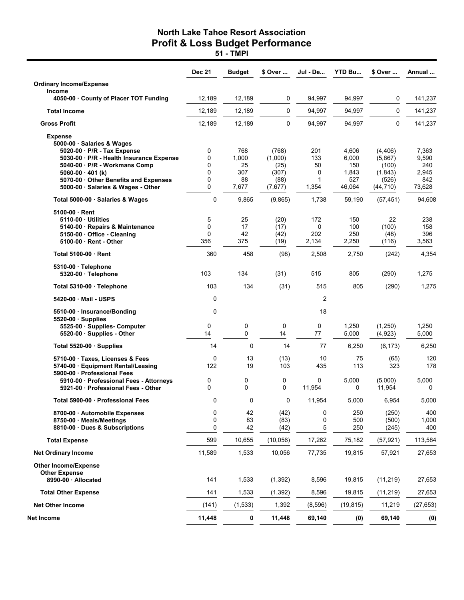|                                                                                                        | <b>Dec 21</b> | <b>Budget</b>      | \$ Over                  | Jul - De         | <b>YTD Bu</b>         | \$ Over                      | Annual                |
|--------------------------------------------------------------------------------------------------------|---------------|--------------------|--------------------------|------------------|-----------------------|------------------------------|-----------------------|
| <b>Ordinary Income/Expense</b>                                                                         |               |                    |                          |                  |                       |                              |                       |
| Income<br>4050-00 County of Placer TOT Funding                                                         | 12,189        | 12,189             | $\mathbf 0$              | 94,997           | 94,997                | 0                            | 141,237               |
| <b>Total Income</b>                                                                                    | 12,189        | 12,189             | $\mathbf 0$              | 94,997           | 94,997                | 0                            | 141,237               |
| <b>Gross Profit</b>                                                                                    | 12,189        | 12,189             | $\mathbf 0$              | 94,997           | 94,997                | 0                            | 141,237               |
| <b>Expense</b><br>5000-00 · Salaries & Wages                                                           |               |                    |                          |                  |                       |                              |                       |
| 5020-00 P/R - Tax Expense<br>5030-00 · P/R - Health Insurance Expense<br>5040-00 · P/R - Workmans Comp | 0<br>0<br>0   | 768<br>1,000<br>25 | (768)<br>(1,000)<br>(25) | 201<br>133<br>50 | 4,606<br>6,000<br>150 | (4, 406)<br>(5,867)<br>(100) | 7,363<br>9,590<br>240 |
| $5060-00 \cdot 401$ (k)                                                                                | 0             | 307                | (307)                    | 0                | 1,843                 | (1, 843)                     | 2,945                 |
| 5070-00 Other Benefits and Expenses<br>5000-00 · Salaries & Wages - Other                              | 0<br>0        | 88<br>7,677        | (88)<br>(7,677)          | 1<br>1,354       | 527<br>46,064         | (526)<br>(44, 710)           | 842<br>73,628         |
| Total 5000-00 · Salaries & Wages                                                                       | 0             | 9,865              | (9,865)                  | 1,738            | 59,190                | (57, 451)                    | 94,608                |
| 5100-00 Rent                                                                                           |               |                    |                          |                  |                       |                              |                       |
| 5110-00 Utilities                                                                                      | 5             | 25                 | (20)                     | 172              | 150                   | 22                           | 238                   |
| 5140-00 · Repairs & Maintenance                                                                        | 0             | 17                 | (17)                     | 0                | 100                   | (100)                        | 158                   |
| 5150-00 · Office - Cleaning<br>5100-00 · Rent - Other                                                  | 0<br>356      | 42<br>375          | (42)<br>(19)             | 202<br>2,134     | 250<br>2,250          | (48)<br>(116)                | 396<br>3,563          |
| Total 5100-00 Rent                                                                                     | 360           | 458                | (98)                     | 2,508            | 2,750                 | (242)                        | 4,354                 |
| $5310-00$ Telephone<br>5320-00 · Telephone                                                             | 103           | 134                | (31)                     | 515              | 805                   | (290)                        | 1,275                 |
| Total 5310-00 Telephone                                                                                | 103           | 134                | (31)                     | 515              | 805                   | (290)                        | 1,275                 |
| 5420-00 Mail - USPS                                                                                    | 0             |                    |                          | $\overline{2}$   |                       |                              |                       |
| 5510-00 · Insurance/Bonding<br>$5520-00$ · Supplies                                                    | 0             |                    |                          | 18               |                       |                              |                       |
| 5525-00 Supplies- Computer<br>5520-00 · Supplies - Other                                               | 0<br>14       | 0<br>0             | 0<br>14                  | 0<br>77          | 1,250<br>5,000        | (1,250)<br>(4,923)           | 1,250<br>5,000        |
| Total 5520-00 · Supplies                                                                               | 14            | 0                  | 14                       | 77               | 6,250                 | (6, 173)                     | 6,250                 |
| 5710-00 Taxes, Licenses & Fees<br>5740-00 · Equipment Rental/Leasing<br>5900-00 · Professional Fees    | 0<br>122      | 13<br>19           | (13)<br>103              | 10<br>435        | 75<br>113             | (65)<br>323                  | 120<br>178            |
| 5910-00 · Professional Fees - Attorneys<br>5921-00 Professional Fees - Other                           | 0<br>0        | 0<br>$\Omega$      | 0<br>0                   | 0<br>11,954      | 5,000<br>0            | (5,000)<br>11,954            | 5,000<br>0            |
| Total 5900-00 · Professional Fees                                                                      | 0             | 0                  | 0                        | 11,954           | 5,000                 | 6,954                        | 5,000                 |
| 8700-00 Automobile Expenses<br>8750-00 Meals/Meetings<br>8810-00 Dues & Subscriptions                  | 0<br>0<br>0   | 42<br>83<br>42     | (42)<br>(83)<br>(42)     | 0<br>0<br>5      | 250<br>500<br>250     | (250)<br>(500)<br>(245)      | 400<br>1,000<br>400   |
| <b>Total Expense</b>                                                                                   | 599           | 10,655             | (10, 056)                | 17,262           | 75,182                | (57, 921)                    | 113,584               |
|                                                                                                        |               |                    |                          |                  |                       |                              |                       |
| <b>Net Ordinary Income</b>                                                                             | 11,589        | 1,533              | 10,056                   | 77,735           | 19,815                | 57,921                       | 27,653                |
| <b>Other Income/Expense</b><br><b>Other Expense</b><br>8990-00 · Allocated                             | 141           | 1,533              | (1, 392)                 | 8,596            | 19,815                | (11, 219)                    | 27,653                |
| <b>Total Other Expense</b>                                                                             | 141           | 1,533              | (1, 392)                 | 8,596            | 19,815                | (11, 219)                    | 27,653                |
| <b>Net Other Income</b>                                                                                | (141)         | (1, 533)           | 1,392                    | (8,596)          | (19, 815)             | 11,219                       | (27, 653)             |
| Net Income                                                                                             | 11,448        | 0                  | 11,448                   | 69,140           | (0)                   | 69,140                       | (0)                   |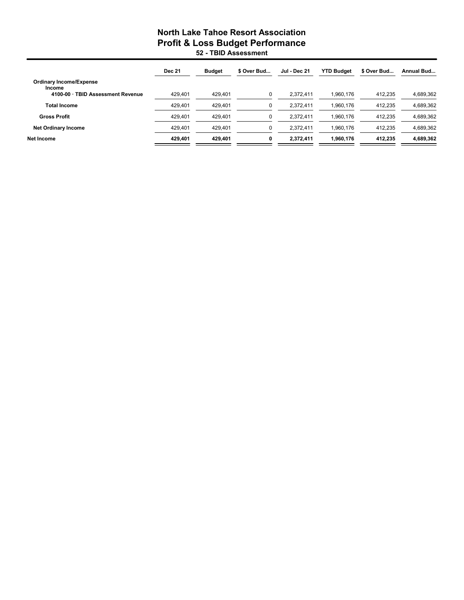### North Lake Tahoe Resort Association Profit & Loss Budget Performance 52 - TBID Assessment

|                                                                               | <b>Dec 21</b> | <b>Budget</b> | \$ Over Bud | <b>Jul - Dec 21</b> | <b>YTD Budget</b> | \$ Over Bud | Annual Bud |
|-------------------------------------------------------------------------------|---------------|---------------|-------------|---------------------|-------------------|-------------|------------|
| <b>Ordinary Income/Expense</b><br>Income<br>4100-00 · TBID Assessment Revenue | 429.401       | 429.401       | 0           | 2.372.411           | 1.960.176         | 412.235     | 4.689.362  |
|                                                                               |               |               |             |                     |                   |             |            |
| <b>Total Income</b>                                                           | 429.401       | 429,401       | 0           | 2.372.411           | 1,960,176         | 412,235     | 4,689,362  |
| <b>Gross Profit</b>                                                           | 429.401       | 429.401       | 0           | 2.372.411           | 1,960,176         | 412.235     | 4,689,362  |
| <b>Net Ordinary Income</b>                                                    | 429.401       | 429.401       | 0           | 2.372.411           | 1,960,176         | 412.235     | 4,689,362  |
| Net Income                                                                    | 429.401       | 429.401       | 0           | 2,372,411           | 1,960,176         | 412.235     | 4,689,362  |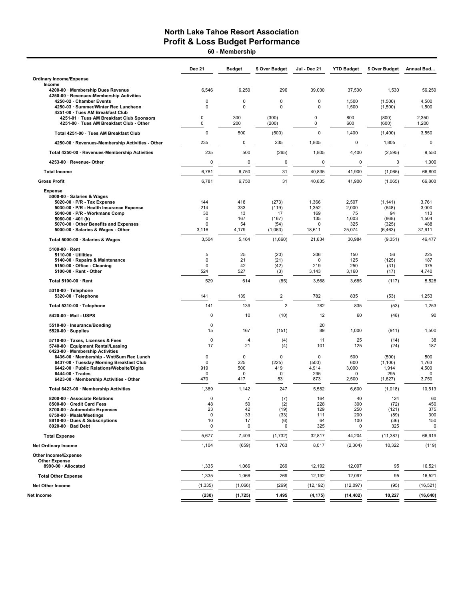60 - Membership

| <b>Ordinary Income/Expense</b><br>Income<br>6,546<br>6,250<br>296<br>39,030<br>37,500<br>1,530<br>4200-00 · Membership Dues Revenue<br>4250-00 · Revenues-Membership Activities<br>0<br>0<br>0<br>0<br>1,500<br>4,500<br>4250-02 · Chamber Events<br>(1,500)<br>$\mathbf 0$<br>0<br>$\mathbf 0$<br>0<br>1,500<br>1,500<br>4250-03 · Summer/Winter Rec Luncheon<br>(1,500)<br>4251-00 · Tues AM Breakfast Club<br>0<br>300<br>(300)<br>0<br>800<br>(800)<br>2,350<br>4251-01 · Tues AM Breakfast Club Sponsors<br>200<br>(200)<br>0<br>600<br>(600)<br>1,200<br>4251-00 · Tues AM Breakfast Club - Other<br>0<br>$\mathbf 0$<br>$\mathbf 0$<br>500<br>1,400<br>3,550<br>(500)<br>(1,400)<br>Total 4251-00 · Tues AM Breakfast Club<br>4250-00 · Revenues-Membership Activities - Other<br>235<br>0<br>235<br>1,805<br>$\pmb{0}$<br>1,805<br>$\mathbf 0$<br>235<br>500<br>(265)<br>1,805<br>4,400<br>Total 4250-00 · Revenues-Membership Activities<br>(2, 595)<br>0<br>$\mathbf 0$<br>0<br>0<br>0<br>$\mathbf 0$<br>4253-00 · Revenue- Other<br>31<br>6,781<br>6,750<br>40,835<br>41,900<br>(1,065)<br><b>Total Income</b><br>31<br><b>Gross Profit</b><br>6,781<br>6,750<br>40,835<br>41,900<br>(1,065)<br><b>Expense</b><br>5000-00 · Salaries & Wages<br>5020-00 · P/R - Tax Expense<br>144<br>418<br>(273)<br>1,366<br>2,507<br>(1, 141)<br>3,761<br>5030-00 · P/R - Health Insurance Expense<br>214<br>333<br>(119)<br>1,352<br>2,000<br>3,000<br>(648)<br>30<br>13<br>169<br>5040-00 · P/R - Workmans Comp<br>17<br>75<br>94<br>113<br>5060-00 $\cdot$ 401 (k)<br>$\mathbf 0$<br>167<br>135<br>1,003<br>1,504<br>(167)<br>(868)<br>5070-00 · Other Benefits and Expenses<br>$\mathbf 0$<br>54<br>325<br>488<br>(54)<br>0<br>(325)<br>5000-00 · Salaries & Wages - Other<br>4,179<br>3,116<br>(1,063)<br>18,611<br>25,074<br>(6, 463)<br>37,611<br>Total 5000-00 · Salaries & Wages<br>3,504<br>5,164<br>(1,660)<br>21,634<br>30,984<br>(9, 351)<br>46,477<br>$5100-00 \cdot$ Rent<br>5<br>25<br>(20)<br>206<br>150<br>56<br>225<br>$5110-00 \cdot$ Utilities<br>$\pmb{0}$<br>21<br>(21)<br>0<br>125<br>(125)<br>187<br>5140-00 · Repairs & Maintenance<br>$\mathbf 0$<br>42<br>(42)<br>219<br>250<br>375<br>5150-00 Office - Cleaning<br>(31)<br>527<br>5100-00 · Rent - Other<br>524<br>3,143<br>3,160<br>4,740<br>(3)<br>(17)<br>529<br>614<br>Total 5100-00 · Rent<br>(85)<br>3,568<br>3,685<br>(117)<br>5310-00 · Telephone<br>139<br>$\overline{c}$<br>782<br>835<br>1,253<br>5320-00 · Telephone<br>141<br>(53)<br>$\overline{2}$<br>782<br>835<br>141<br>139<br>(53)<br>1,253<br>Total 5310-00 · Telephone<br>0<br>10<br>(10)<br>12<br>60<br>(48)<br>90<br>5420-00 Mail - USPS<br>0<br>20<br>5510-00 · Insurance/Bonding<br>89<br>5520-00 · Supplies<br>15<br>167<br>(151)<br>1,000<br>(911)<br>$\mathbf 0$<br>25<br>5710-00 · Taxes, Licenses & Fees<br>$\overline{4}$<br>(4)<br>11<br>(14)<br>21<br>(4)<br>(24)<br>5740-00 · Equipment Rental/Leasing<br>17<br>101<br>125<br>6423-00 · Membership Activities<br>$\pmb{0}$<br>0<br>$\mathbf 0$<br>0<br>500<br>500<br>6436-00 · Membership - Wnt/Sum Rec Lunch<br>(500)<br>225<br>6437-00 · Tuesday Morning Breakfast Club<br>$\mathbf 0$<br>(225)<br>600<br>(1, 100)<br>1,763<br>(500)<br>919<br>500<br>419<br>4,914<br>3,000<br>1,914<br>4,500<br>6442-00 · Public Relations/Website/Digita<br>$6444-00 \cdot Trades$<br>$\mathbf 0$<br>0<br>$\mathbf 0$<br>295<br>295<br>$\mathbf 0$<br>0<br>470<br>417<br>53<br>873<br>2,500<br>6423-00 · Membership Activities - Other<br>(1,627)<br>3,750<br>1,389<br>1,142<br>247<br>5,582<br>6,600<br>(1,018)<br>Total 6423-00 · Membership Activities<br>0<br>$\overline{7}$<br>(7)<br>164<br>40<br>124<br>8200-00 · Associate Relations<br>50<br>228<br>300<br>8500-00 · Credit Card Fees<br>48<br>(2)<br>(72)<br>23<br>42<br>8700-00 · Automobile Expenses<br>(19)<br>129<br>250<br>(121)<br>8750-00 · Meals/Meetings<br>0<br>33<br>(33)<br>200<br>111<br>(89)<br>8810-00 · Dues & Subscriptions<br>10<br>17<br>64<br>100<br>(36)<br>(6)<br>8920-00 · Bad Debt<br>325<br>0<br>0<br>325<br>0<br>0<br>5,677<br>7,409<br>32,817<br>44,204<br><b>Total Expense</b><br>(1, 732)<br>(11, 387)<br>(659)<br>1,763<br>8,017<br><b>Net Ordinary Income</b><br>1,104<br>(2,304)<br>10,322<br>Other Income/Expense<br><b>Other Expense</b><br>8990-00 · Allocated<br>1,335<br>1,066<br>269<br>12,192<br>12,097<br>95<br><b>Total Other Expense</b><br>1,335<br>1,066<br>269<br>12,192<br>12,097<br>95<br><b>Net Other Income</b><br>(1, 335)<br>(1,066)<br>(269)<br>(12, 192)<br>(12,097)<br>(95)<br>(230)<br>1,495<br>10,227<br>Net Income<br>(1, 725)<br>(4, 175)<br>(14, 402) | <b>Dec 21</b> | <b>Budget</b> | \$ Over Budget | Jul - Dec 21 | <b>YTD Budget</b> | \$ Over Budget | Annual Bud                          |
|-----------------------------------------------------------------------------------------------------------------------------------------------------------------------------------------------------------------------------------------------------------------------------------------------------------------------------------------------------------------------------------------------------------------------------------------------------------------------------------------------------------------------------------------------------------------------------------------------------------------------------------------------------------------------------------------------------------------------------------------------------------------------------------------------------------------------------------------------------------------------------------------------------------------------------------------------------------------------------------------------------------------------------------------------------------------------------------------------------------------------------------------------------------------------------------------------------------------------------------------------------------------------------------------------------------------------------------------------------------------------------------------------------------------------------------------------------------------------------------------------------------------------------------------------------------------------------------------------------------------------------------------------------------------------------------------------------------------------------------------------------------------------------------------------------------------------------------------------------------------------------------------------------------------------------------------------------------------------------------------------------------------------------------------------------------------------------------------------------------------------------------------------------------------------------------------------------------------------------------------------------------------------------------------------------------------------------------------------------------------------------------------------------------------------------------------------------------------------------------------------------------------------------------------------------------------------------------------------------------------------------------------------------------------------------------------------------------------------------------------------------------------------------------------------------------------------------------------------------------------------------------------------------------------------------------------------------------------------------------------------------------------------------------------------------------------------------------------------------------------------------------------------------------------------------------------------------------------------------------------------------------------------------------------------------------------------------------------------------------------------------------------------------------------------------------------------------------------------------------------------------------------------------------------------------------------------------------------------------------------------------------------------------------------------------------------------------------------------------------------------------------------------------------------------------------------------------------------------------------------------------------------------------------------------------------------------------------------------------------------------------------------------------------------------------------------------------------------------------------------------------------------------------------------------------------------------------------------------------------------------------------------------------------------------------------------------------------------------------------------------------------------------------------------------------------------------------------------------------------------------------------------------------------------------------------------------------------------------------------------------------------------------------------------------------|---------------|---------------|----------------|--------------|-------------------|----------------|-------------------------------------|
|                                                                                                                                                                                                                                                                                                                                                                                                                                                                                                                                                                                                                                                                                                                                                                                                                                                                                                                                                                                                                                                                                                                                                                                                                                                                                                                                                                                                                                                                                                                                                                                                                                                                                                                                                                                                                                                                                                                                                                                                                                                                                                                                                                                                                                                                                                                                                                                                                                                                                                                                                                                                                                                                                                                                                                                                                                                                                                                                                                                                                                                                                                                                                                                                                                                                                                                                                                                                                                                                                                                                                                                                                                                                                                                                                                                                                                                                                                                                                                                                                                                                                                                                                                                                                                                                                                                                                                                                                                                                                                                                                                                                                                                                             |               |               |                |              |                   |                |                                     |
|                                                                                                                                                                                                                                                                                                                                                                                                                                                                                                                                                                                                                                                                                                                                                                                                                                                                                                                                                                                                                                                                                                                                                                                                                                                                                                                                                                                                                                                                                                                                                                                                                                                                                                                                                                                                                                                                                                                                                                                                                                                                                                                                                                                                                                                                                                                                                                                                                                                                                                                                                                                                                                                                                                                                                                                                                                                                                                                                                                                                                                                                                                                                                                                                                                                                                                                                                                                                                                                                                                                                                                                                                                                                                                                                                                                                                                                                                                                                                                                                                                                                                                                                                                                                                                                                                                                                                                                                                                                                                                                                                                                                                                                                             |               |               |                |              |                   |                | 56,250                              |
|                                                                                                                                                                                                                                                                                                                                                                                                                                                                                                                                                                                                                                                                                                                                                                                                                                                                                                                                                                                                                                                                                                                                                                                                                                                                                                                                                                                                                                                                                                                                                                                                                                                                                                                                                                                                                                                                                                                                                                                                                                                                                                                                                                                                                                                                                                                                                                                                                                                                                                                                                                                                                                                                                                                                                                                                                                                                                                                                                                                                                                                                                                                                                                                                                                                                                                                                                                                                                                                                                                                                                                                                                                                                                                                                                                                                                                                                                                                                                                                                                                                                                                                                                                                                                                                                                                                                                                                                                                                                                                                                                                                                                                                                             |               |               |                |              |                   |                |                                     |
|                                                                                                                                                                                                                                                                                                                                                                                                                                                                                                                                                                                                                                                                                                                                                                                                                                                                                                                                                                                                                                                                                                                                                                                                                                                                                                                                                                                                                                                                                                                                                                                                                                                                                                                                                                                                                                                                                                                                                                                                                                                                                                                                                                                                                                                                                                                                                                                                                                                                                                                                                                                                                                                                                                                                                                                                                                                                                                                                                                                                                                                                                                                                                                                                                                                                                                                                                                                                                                                                                                                                                                                                                                                                                                                                                                                                                                                                                                                                                                                                                                                                                                                                                                                                                                                                                                                                                                                                                                                                                                                                                                                                                                                                             |               |               |                |              |                   |                |                                     |
|                                                                                                                                                                                                                                                                                                                                                                                                                                                                                                                                                                                                                                                                                                                                                                                                                                                                                                                                                                                                                                                                                                                                                                                                                                                                                                                                                                                                                                                                                                                                                                                                                                                                                                                                                                                                                                                                                                                                                                                                                                                                                                                                                                                                                                                                                                                                                                                                                                                                                                                                                                                                                                                                                                                                                                                                                                                                                                                                                                                                                                                                                                                                                                                                                                                                                                                                                                                                                                                                                                                                                                                                                                                                                                                                                                                                                                                                                                                                                                                                                                                                                                                                                                                                                                                                                                                                                                                                                                                                                                                                                                                                                                                                             |               |               |                |              |                   |                |                                     |
|                                                                                                                                                                                                                                                                                                                                                                                                                                                                                                                                                                                                                                                                                                                                                                                                                                                                                                                                                                                                                                                                                                                                                                                                                                                                                                                                                                                                                                                                                                                                                                                                                                                                                                                                                                                                                                                                                                                                                                                                                                                                                                                                                                                                                                                                                                                                                                                                                                                                                                                                                                                                                                                                                                                                                                                                                                                                                                                                                                                                                                                                                                                                                                                                                                                                                                                                                                                                                                                                                                                                                                                                                                                                                                                                                                                                                                                                                                                                                                                                                                                                                                                                                                                                                                                                                                                                                                                                                                                                                                                                                                                                                                                                             |               |               |                |              |                   |                |                                     |
|                                                                                                                                                                                                                                                                                                                                                                                                                                                                                                                                                                                                                                                                                                                                                                                                                                                                                                                                                                                                                                                                                                                                                                                                                                                                                                                                                                                                                                                                                                                                                                                                                                                                                                                                                                                                                                                                                                                                                                                                                                                                                                                                                                                                                                                                                                                                                                                                                                                                                                                                                                                                                                                                                                                                                                                                                                                                                                                                                                                                                                                                                                                                                                                                                                                                                                                                                                                                                                                                                                                                                                                                                                                                                                                                                                                                                                                                                                                                                                                                                                                                                                                                                                                                                                                                                                                                                                                                                                                                                                                                                                                                                                                                             |               |               |                |              |                   |                | 9,550                               |
|                                                                                                                                                                                                                                                                                                                                                                                                                                                                                                                                                                                                                                                                                                                                                                                                                                                                                                                                                                                                                                                                                                                                                                                                                                                                                                                                                                                                                                                                                                                                                                                                                                                                                                                                                                                                                                                                                                                                                                                                                                                                                                                                                                                                                                                                                                                                                                                                                                                                                                                                                                                                                                                                                                                                                                                                                                                                                                                                                                                                                                                                                                                                                                                                                                                                                                                                                                                                                                                                                                                                                                                                                                                                                                                                                                                                                                                                                                                                                                                                                                                                                                                                                                                                                                                                                                                                                                                                                                                                                                                                                                                                                                                                             |               |               |                |              |                   |                | 1,000                               |
|                                                                                                                                                                                                                                                                                                                                                                                                                                                                                                                                                                                                                                                                                                                                                                                                                                                                                                                                                                                                                                                                                                                                                                                                                                                                                                                                                                                                                                                                                                                                                                                                                                                                                                                                                                                                                                                                                                                                                                                                                                                                                                                                                                                                                                                                                                                                                                                                                                                                                                                                                                                                                                                                                                                                                                                                                                                                                                                                                                                                                                                                                                                                                                                                                                                                                                                                                                                                                                                                                                                                                                                                                                                                                                                                                                                                                                                                                                                                                                                                                                                                                                                                                                                                                                                                                                                                                                                                                                                                                                                                                                                                                                                                             |               |               |                |              |                   |                | 66,800                              |
|                                                                                                                                                                                                                                                                                                                                                                                                                                                                                                                                                                                                                                                                                                                                                                                                                                                                                                                                                                                                                                                                                                                                                                                                                                                                                                                                                                                                                                                                                                                                                                                                                                                                                                                                                                                                                                                                                                                                                                                                                                                                                                                                                                                                                                                                                                                                                                                                                                                                                                                                                                                                                                                                                                                                                                                                                                                                                                                                                                                                                                                                                                                                                                                                                                                                                                                                                                                                                                                                                                                                                                                                                                                                                                                                                                                                                                                                                                                                                                                                                                                                                                                                                                                                                                                                                                                                                                                                                                                                                                                                                                                                                                                                             |               |               |                |              |                   |                | 66,800                              |
|                                                                                                                                                                                                                                                                                                                                                                                                                                                                                                                                                                                                                                                                                                                                                                                                                                                                                                                                                                                                                                                                                                                                                                                                                                                                                                                                                                                                                                                                                                                                                                                                                                                                                                                                                                                                                                                                                                                                                                                                                                                                                                                                                                                                                                                                                                                                                                                                                                                                                                                                                                                                                                                                                                                                                                                                                                                                                                                                                                                                                                                                                                                                                                                                                                                                                                                                                                                                                                                                                                                                                                                                                                                                                                                                                                                                                                                                                                                                                                                                                                                                                                                                                                                                                                                                                                                                                                                                                                                                                                                                                                                                                                                                             |               |               |                |              |                   |                |                                     |
|                                                                                                                                                                                                                                                                                                                                                                                                                                                                                                                                                                                                                                                                                                                                                                                                                                                                                                                                                                                                                                                                                                                                                                                                                                                                                                                                                                                                                                                                                                                                                                                                                                                                                                                                                                                                                                                                                                                                                                                                                                                                                                                                                                                                                                                                                                                                                                                                                                                                                                                                                                                                                                                                                                                                                                                                                                                                                                                                                                                                                                                                                                                                                                                                                                                                                                                                                                                                                                                                                                                                                                                                                                                                                                                                                                                                                                                                                                                                                                                                                                                                                                                                                                                                                                                                                                                                                                                                                                                                                                                                                                                                                                                                             |               |               |                |              |                   |                |                                     |
|                                                                                                                                                                                                                                                                                                                                                                                                                                                                                                                                                                                                                                                                                                                                                                                                                                                                                                                                                                                                                                                                                                                                                                                                                                                                                                                                                                                                                                                                                                                                                                                                                                                                                                                                                                                                                                                                                                                                                                                                                                                                                                                                                                                                                                                                                                                                                                                                                                                                                                                                                                                                                                                                                                                                                                                                                                                                                                                                                                                                                                                                                                                                                                                                                                                                                                                                                                                                                                                                                                                                                                                                                                                                                                                                                                                                                                                                                                                                                                                                                                                                                                                                                                                                                                                                                                                                                                                                                                                                                                                                                                                                                                                                             |               |               |                |              |                   |                |                                     |
|                                                                                                                                                                                                                                                                                                                                                                                                                                                                                                                                                                                                                                                                                                                                                                                                                                                                                                                                                                                                                                                                                                                                                                                                                                                                                                                                                                                                                                                                                                                                                                                                                                                                                                                                                                                                                                                                                                                                                                                                                                                                                                                                                                                                                                                                                                                                                                                                                                                                                                                                                                                                                                                                                                                                                                                                                                                                                                                                                                                                                                                                                                                                                                                                                                                                                                                                                                                                                                                                                                                                                                                                                                                                                                                                                                                                                                                                                                                                                                                                                                                                                                                                                                                                                                                                                                                                                                                                                                                                                                                                                                                                                                                                             |               |               |                |              |                   |                | 5,528                               |
|                                                                                                                                                                                                                                                                                                                                                                                                                                                                                                                                                                                                                                                                                                                                                                                                                                                                                                                                                                                                                                                                                                                                                                                                                                                                                                                                                                                                                                                                                                                                                                                                                                                                                                                                                                                                                                                                                                                                                                                                                                                                                                                                                                                                                                                                                                                                                                                                                                                                                                                                                                                                                                                                                                                                                                                                                                                                                                                                                                                                                                                                                                                                                                                                                                                                                                                                                                                                                                                                                                                                                                                                                                                                                                                                                                                                                                                                                                                                                                                                                                                                                                                                                                                                                                                                                                                                                                                                                                                                                                                                                                                                                                                                             |               |               |                |              |                   |                |                                     |
|                                                                                                                                                                                                                                                                                                                                                                                                                                                                                                                                                                                                                                                                                                                                                                                                                                                                                                                                                                                                                                                                                                                                                                                                                                                                                                                                                                                                                                                                                                                                                                                                                                                                                                                                                                                                                                                                                                                                                                                                                                                                                                                                                                                                                                                                                                                                                                                                                                                                                                                                                                                                                                                                                                                                                                                                                                                                                                                                                                                                                                                                                                                                                                                                                                                                                                                                                                                                                                                                                                                                                                                                                                                                                                                                                                                                                                                                                                                                                                                                                                                                                                                                                                                                                                                                                                                                                                                                                                                                                                                                                                                                                                                                             |               |               |                |              |                   |                |                                     |
|                                                                                                                                                                                                                                                                                                                                                                                                                                                                                                                                                                                                                                                                                                                                                                                                                                                                                                                                                                                                                                                                                                                                                                                                                                                                                                                                                                                                                                                                                                                                                                                                                                                                                                                                                                                                                                                                                                                                                                                                                                                                                                                                                                                                                                                                                                                                                                                                                                                                                                                                                                                                                                                                                                                                                                                                                                                                                                                                                                                                                                                                                                                                                                                                                                                                                                                                                                                                                                                                                                                                                                                                                                                                                                                                                                                                                                                                                                                                                                                                                                                                                                                                                                                                                                                                                                                                                                                                                                                                                                                                                                                                                                                                             |               |               |                |              |                   |                |                                     |
|                                                                                                                                                                                                                                                                                                                                                                                                                                                                                                                                                                                                                                                                                                                                                                                                                                                                                                                                                                                                                                                                                                                                                                                                                                                                                                                                                                                                                                                                                                                                                                                                                                                                                                                                                                                                                                                                                                                                                                                                                                                                                                                                                                                                                                                                                                                                                                                                                                                                                                                                                                                                                                                                                                                                                                                                                                                                                                                                                                                                                                                                                                                                                                                                                                                                                                                                                                                                                                                                                                                                                                                                                                                                                                                                                                                                                                                                                                                                                                                                                                                                                                                                                                                                                                                                                                                                                                                                                                                                                                                                                                                                                                                                             |               |               |                |              |                   |                |                                     |
|                                                                                                                                                                                                                                                                                                                                                                                                                                                                                                                                                                                                                                                                                                                                                                                                                                                                                                                                                                                                                                                                                                                                                                                                                                                                                                                                                                                                                                                                                                                                                                                                                                                                                                                                                                                                                                                                                                                                                                                                                                                                                                                                                                                                                                                                                                                                                                                                                                                                                                                                                                                                                                                                                                                                                                                                                                                                                                                                                                                                                                                                                                                                                                                                                                                                                                                                                                                                                                                                                                                                                                                                                                                                                                                                                                                                                                                                                                                                                                                                                                                                                                                                                                                                                                                                                                                                                                                                                                                                                                                                                                                                                                                                             |               |               |                |              |                   |                | 1,500                               |
|                                                                                                                                                                                                                                                                                                                                                                                                                                                                                                                                                                                                                                                                                                                                                                                                                                                                                                                                                                                                                                                                                                                                                                                                                                                                                                                                                                                                                                                                                                                                                                                                                                                                                                                                                                                                                                                                                                                                                                                                                                                                                                                                                                                                                                                                                                                                                                                                                                                                                                                                                                                                                                                                                                                                                                                                                                                                                                                                                                                                                                                                                                                                                                                                                                                                                                                                                                                                                                                                                                                                                                                                                                                                                                                                                                                                                                                                                                                                                                                                                                                                                                                                                                                                                                                                                                                                                                                                                                                                                                                                                                                                                                                                             |               |               |                |              |                   |                | 38<br>187                           |
|                                                                                                                                                                                                                                                                                                                                                                                                                                                                                                                                                                                                                                                                                                                                                                                                                                                                                                                                                                                                                                                                                                                                                                                                                                                                                                                                                                                                                                                                                                                                                                                                                                                                                                                                                                                                                                                                                                                                                                                                                                                                                                                                                                                                                                                                                                                                                                                                                                                                                                                                                                                                                                                                                                                                                                                                                                                                                                                                                                                                                                                                                                                                                                                                                                                                                                                                                                                                                                                                                                                                                                                                                                                                                                                                                                                                                                                                                                                                                                                                                                                                                                                                                                                                                                                                                                                                                                                                                                                                                                                                                                                                                                                                             |               |               |                |              |                   |                |                                     |
|                                                                                                                                                                                                                                                                                                                                                                                                                                                                                                                                                                                                                                                                                                                                                                                                                                                                                                                                                                                                                                                                                                                                                                                                                                                                                                                                                                                                                                                                                                                                                                                                                                                                                                                                                                                                                                                                                                                                                                                                                                                                                                                                                                                                                                                                                                                                                                                                                                                                                                                                                                                                                                                                                                                                                                                                                                                                                                                                                                                                                                                                                                                                                                                                                                                                                                                                                                                                                                                                                                                                                                                                                                                                                                                                                                                                                                                                                                                                                                                                                                                                                                                                                                                                                                                                                                                                                                                                                                                                                                                                                                                                                                                                             |               |               |                |              |                   |                | 10,513                              |
|                                                                                                                                                                                                                                                                                                                                                                                                                                                                                                                                                                                                                                                                                                                                                                                                                                                                                                                                                                                                                                                                                                                                                                                                                                                                                                                                                                                                                                                                                                                                                                                                                                                                                                                                                                                                                                                                                                                                                                                                                                                                                                                                                                                                                                                                                                                                                                                                                                                                                                                                                                                                                                                                                                                                                                                                                                                                                                                                                                                                                                                                                                                                                                                                                                                                                                                                                                                                                                                                                                                                                                                                                                                                                                                                                                                                                                                                                                                                                                                                                                                                                                                                                                                                                                                                                                                                                                                                                                                                                                                                                                                                                                                                             |               |               |                |              |                   |                | 60<br>450<br>375<br>300<br>150<br>0 |
|                                                                                                                                                                                                                                                                                                                                                                                                                                                                                                                                                                                                                                                                                                                                                                                                                                                                                                                                                                                                                                                                                                                                                                                                                                                                                                                                                                                                                                                                                                                                                                                                                                                                                                                                                                                                                                                                                                                                                                                                                                                                                                                                                                                                                                                                                                                                                                                                                                                                                                                                                                                                                                                                                                                                                                                                                                                                                                                                                                                                                                                                                                                                                                                                                                                                                                                                                                                                                                                                                                                                                                                                                                                                                                                                                                                                                                                                                                                                                                                                                                                                                                                                                                                                                                                                                                                                                                                                                                                                                                                                                                                                                                                                             |               |               |                |              |                   |                | 66,919                              |
|                                                                                                                                                                                                                                                                                                                                                                                                                                                                                                                                                                                                                                                                                                                                                                                                                                                                                                                                                                                                                                                                                                                                                                                                                                                                                                                                                                                                                                                                                                                                                                                                                                                                                                                                                                                                                                                                                                                                                                                                                                                                                                                                                                                                                                                                                                                                                                                                                                                                                                                                                                                                                                                                                                                                                                                                                                                                                                                                                                                                                                                                                                                                                                                                                                                                                                                                                                                                                                                                                                                                                                                                                                                                                                                                                                                                                                                                                                                                                                                                                                                                                                                                                                                                                                                                                                                                                                                                                                                                                                                                                                                                                                                                             |               |               |                |              |                   |                | (119)                               |
|                                                                                                                                                                                                                                                                                                                                                                                                                                                                                                                                                                                                                                                                                                                                                                                                                                                                                                                                                                                                                                                                                                                                                                                                                                                                                                                                                                                                                                                                                                                                                                                                                                                                                                                                                                                                                                                                                                                                                                                                                                                                                                                                                                                                                                                                                                                                                                                                                                                                                                                                                                                                                                                                                                                                                                                                                                                                                                                                                                                                                                                                                                                                                                                                                                                                                                                                                                                                                                                                                                                                                                                                                                                                                                                                                                                                                                                                                                                                                                                                                                                                                                                                                                                                                                                                                                                                                                                                                                                                                                                                                                                                                                                                             |               |               |                |              |                   |                | 16,521                              |
|                                                                                                                                                                                                                                                                                                                                                                                                                                                                                                                                                                                                                                                                                                                                                                                                                                                                                                                                                                                                                                                                                                                                                                                                                                                                                                                                                                                                                                                                                                                                                                                                                                                                                                                                                                                                                                                                                                                                                                                                                                                                                                                                                                                                                                                                                                                                                                                                                                                                                                                                                                                                                                                                                                                                                                                                                                                                                                                                                                                                                                                                                                                                                                                                                                                                                                                                                                                                                                                                                                                                                                                                                                                                                                                                                                                                                                                                                                                                                                                                                                                                                                                                                                                                                                                                                                                                                                                                                                                                                                                                                                                                                                                                             |               |               |                |              |                   |                | 16,521                              |
|                                                                                                                                                                                                                                                                                                                                                                                                                                                                                                                                                                                                                                                                                                                                                                                                                                                                                                                                                                                                                                                                                                                                                                                                                                                                                                                                                                                                                                                                                                                                                                                                                                                                                                                                                                                                                                                                                                                                                                                                                                                                                                                                                                                                                                                                                                                                                                                                                                                                                                                                                                                                                                                                                                                                                                                                                                                                                                                                                                                                                                                                                                                                                                                                                                                                                                                                                                                                                                                                                                                                                                                                                                                                                                                                                                                                                                                                                                                                                                                                                                                                                                                                                                                                                                                                                                                                                                                                                                                                                                                                                                                                                                                                             |               |               |                |              |                   |                | (16, 521)                           |
|                                                                                                                                                                                                                                                                                                                                                                                                                                                                                                                                                                                                                                                                                                                                                                                                                                                                                                                                                                                                                                                                                                                                                                                                                                                                                                                                                                                                                                                                                                                                                                                                                                                                                                                                                                                                                                                                                                                                                                                                                                                                                                                                                                                                                                                                                                                                                                                                                                                                                                                                                                                                                                                                                                                                                                                                                                                                                                                                                                                                                                                                                                                                                                                                                                                                                                                                                                                                                                                                                                                                                                                                                                                                                                                                                                                                                                                                                                                                                                                                                                                                                                                                                                                                                                                                                                                                                                                                                                                                                                                                                                                                                                                                             |               |               |                |              |                   |                | (16, 640)                           |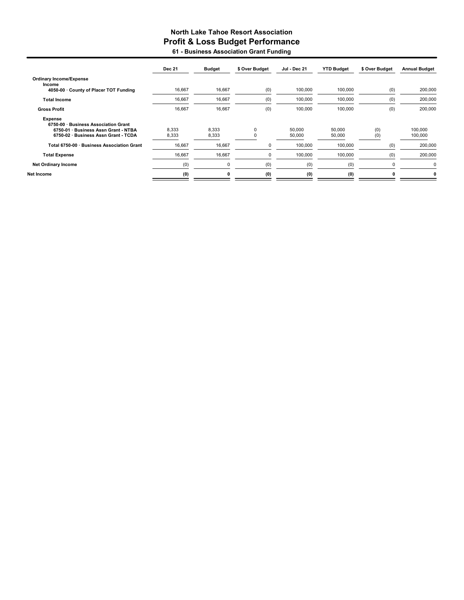### North Lake Tahoe Resort Association Profit & Loss Budget Performance 61 - Business Association Grant Funding

|                                                                                                                                 | <b>Dec 21</b>  | <b>Budget</b>  | \$ Over Budget | Jul - Dec 21     | <b>YTD Budget</b> | \$ Over Budget | <b>Annual Budget</b> |
|---------------------------------------------------------------------------------------------------------------------------------|----------------|----------------|----------------|------------------|-------------------|----------------|----------------------|
| <b>Ordinary Income/Expense</b><br>Income                                                                                        |                |                |                |                  |                   |                |                      |
| 4050-00 County of Placer TOT Funding                                                                                            | 16,667         | 16,667         | (0)            | 100,000          | 100,000           | (0)            | 200,000              |
| <b>Total Income</b>                                                                                                             | 16,667         | 16,667         | (0)            | 100,000          | 100,000           | (0)            | 200,000              |
| <b>Gross Profit</b>                                                                                                             | 16,667         | 16,667         | (0)            | 100.000          | 100.000           | (0)            | 200,000              |
| Expense<br>6750-00 · Business Association Grant<br>6750-01 · Business Assn Grant - NTBA<br>6750-02 · Business Assn Grant - TCDA | 8,333<br>8,333 | 8,333<br>8,333 | $\Omega$       | 50,000<br>50,000 | 50,000<br>50,000  | (0)<br>(0)     | 100,000<br>100,000   |
| Total 6750-00 · Business Association Grant                                                                                      | 16,667         | 16,667         | 0              | 100,000          | 100,000           | (0)            | 200,000              |
| <b>Total Expense</b>                                                                                                            | 16,667         | 16,667         | 0              | 100,000          | 100,000           | (0)            | 200,000              |
| <b>Net Ordinary Income</b>                                                                                                      | (0)            | 0              | (0)            | (0)              | (0)               |                |                      |
| Net Income                                                                                                                      | (0)            | 0              | (0)            | (0)              | (0)               |                |                      |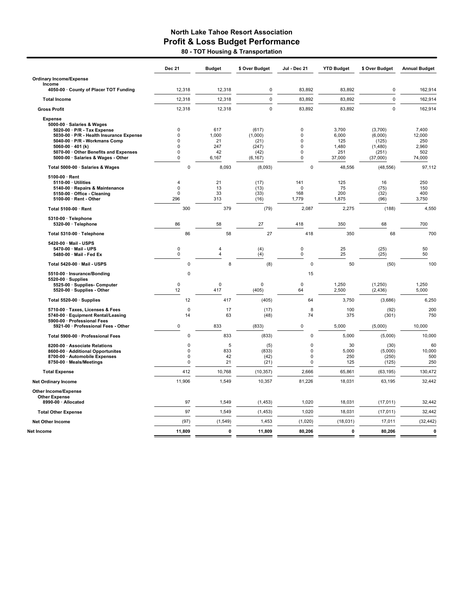### North Lake Tahoe Resort Association Profit & Loss Budget Performance 80 - TOT Housing & Transportation

|                                                                                                                                                                                                                                                                          | Dec 21                                                                       | <b>Budget</b>                            | \$ Over Budget                                        | Jul - Dec 21                                                                      | <b>YTD Budget</b>                               | \$ Over Budget                                              | <b>Annual Budget</b>                             |
|--------------------------------------------------------------------------------------------------------------------------------------------------------------------------------------------------------------------------------------------------------------------------|------------------------------------------------------------------------------|------------------------------------------|-------------------------------------------------------|-----------------------------------------------------------------------------------|-------------------------------------------------|-------------------------------------------------------------|--------------------------------------------------|
| <b>Ordinary Income/Expense</b>                                                                                                                                                                                                                                           |                                                                              |                                          |                                                       |                                                                                   |                                                 |                                                             |                                                  |
| Income<br>4050-00 · County of Placer TOT Funding                                                                                                                                                                                                                         | 12,318                                                                       | 12,318                                   | $\pmb{0}$                                             | 83,892                                                                            | 83,892                                          | $\pmb{0}$                                                   | 162,914                                          |
| <b>Total Income</b>                                                                                                                                                                                                                                                      | 12,318                                                                       | 12,318                                   | $\mathbf 0$                                           | 83.892                                                                            | 83.892                                          | $\mathbf 0$                                                 | 162,914                                          |
| <b>Gross Profit</b>                                                                                                                                                                                                                                                      | 12,318                                                                       | 12,318                                   | $\Omega$                                              | 83,892                                                                            | 83,892                                          | $\Omega$                                                    | 162,914                                          |
| <b>Expense</b><br>5000-00 · Salaries & Wages<br>$5020-00 \cdot P/R$ - Tax Expense<br>5030-00 · P/R - Health Insurance Expense<br>5040-00 · P/R - Workmans Comp<br>5060-00 $\cdot$ 401 (k)<br>5070-00 · Other Benefits and Expenses<br>5000-00 · Salaries & Wages - Other | 0<br>$\mathbf 0$<br>$\mathbf 0$<br>$\mathbf 0$<br>$\mathbf 0$<br>$\mathbf 0$ | 617<br>1,000<br>21<br>247<br>42<br>6,167 | (617)<br>(1,000)<br>(21)<br>(247)<br>(42)<br>(6, 167) | $\Omega$<br>$\mathbf 0$<br>$\pmb{0}$<br>$\mathbf 0$<br>$\mathbf 0$<br>$\mathbf 0$ | 3,700<br>6,000<br>125<br>1,480<br>251<br>37,000 | (3,700)<br>(6,000)<br>(125)<br>(1,480)<br>(251)<br>(37,000) | 7,400<br>12,000<br>250<br>2,960<br>502<br>74,000 |
| Total 5000-00 · Salaries & Wages                                                                                                                                                                                                                                         | $\mathbf 0$                                                                  | 8,093                                    | (8,093)                                               | $\Omega$                                                                          | 48,556                                          | (48, 556)                                                   | 97,112                                           |
| 5100-00 · Rent<br>$5110-00 \cdot$ Utilities<br>5140-00 · Repairs & Maintenance<br>5150-00 · Office - Cleaning<br>5100-00 · Rent - Other                                                                                                                                  | 4<br>$\mathbf 0$<br>$\pmb{0}$<br>296                                         | 21<br>13<br>33<br>313                    | (17)<br>(13)<br>(33)<br>(16)                          | 141<br>$\Omega$<br>168<br>1,779                                                   | 125<br>75<br>200<br>1,875                       | 16<br>(75)<br>(32)<br>(96)                                  | 250<br>150<br>400<br>3,750                       |
| Total 5100-00 · Rent                                                                                                                                                                                                                                                     | 300                                                                          | 379                                      | (79)                                                  | 2,087                                                                             | 2,275                                           | (188)                                                       | 4,550                                            |
| 5310-00 · Telephone<br>$5320-00 \cdot$ Telephone                                                                                                                                                                                                                         | 86                                                                           | 58                                       | 27                                                    | 418                                                                               | 350                                             | 68                                                          | 700                                              |
| Total 5310-00 · Telephone                                                                                                                                                                                                                                                | 86                                                                           | 58                                       | 27                                                    | 418                                                                               | 350                                             | 68                                                          | 700                                              |
| 5420-00 · Mail - USPS<br>5470-00 · Mail - UPS<br>5480-00 · Mail - Fed Ex                                                                                                                                                                                                 | $\mathbf 0$<br>$\pmb{0}$                                                     | $\sqrt{4}$<br>$\overline{4}$             | (4)<br>(4)                                            | $\pmb{0}$<br>$\pmb{0}$                                                            | 25<br>25                                        | (25)<br>(25)                                                | 50<br>50                                         |
| Total 5420-00 · Mail - USPS                                                                                                                                                                                                                                              | 0                                                                            | 8                                        | (8)                                                   | $\mathbf 0$                                                                       | 50                                              | (50)                                                        | 100                                              |
| 5510-00 · Insurance/Bonding<br>$5520-00 \cdot$ Supplies<br>5525-00 · Supplies- Computer<br>5520-00 · Supplies - Other                                                                                                                                                    | $\mathbf 0$<br>$\Omega$<br>12                                                | $\mathbf 0$<br>417                       | $\Omega$<br>(405)                                     | 15<br>$\Omega$<br>64                                                              | 1,250<br>2,500                                  | (1,250)<br>(2, 436)                                         | 1,250<br>5,000                                   |
| Total 5520-00 · Supplies                                                                                                                                                                                                                                                 | 12                                                                           | 417                                      | (405)                                                 | 64                                                                                | 3,750                                           | (3,686)                                                     | 6,250                                            |
| 5710-00 · Taxes, Licenses & Fees<br>5740-00 · Equipment Rental/Leasing<br>5900-00 · Professional Fees                                                                                                                                                                    | 0<br>14                                                                      | 17<br>63                                 | (17)<br>(48)                                          | 8<br>74                                                                           | 100<br>375                                      | (92)<br>(301)                                               | 200<br>750                                       |
| 5921-00 · Professional Fees - Other                                                                                                                                                                                                                                      | $\mathbf 0$                                                                  | 833                                      | (833)                                                 | $\pmb{0}$                                                                         | 5,000                                           | (5,000)                                                     | 10,000                                           |
| Total 5900-00 · Professional Fees                                                                                                                                                                                                                                        | $\mathbf 0$                                                                  | 833                                      | (833)                                                 | $\mathbf 0$                                                                       | 5,000                                           | (5,000)                                                     | 10,000                                           |
| 8200-00 · Associate Relations<br>8600-00 · Additional Opportunites<br>8700-00 · Automobile Expenses<br>8750-00 · Meals/Meetings                                                                                                                                          | $\mathbf 0$<br>$\mathbf 0$<br>$\mathbf 0$<br>$\mathbf 0$                     | 5<br>833<br>42<br>21                     | (5)<br>(833)<br>(42)<br>(21)                          | $\mathbf 0$<br>$\Omega$<br>$\Omega$<br>$\mathbf 0$                                | 30<br>5,000<br>250<br>125                       | (30)<br>(5,000)<br>(250)<br>(125)                           | 60<br>10,000<br>500<br>250                       |
| <b>Total Expense</b>                                                                                                                                                                                                                                                     | 412                                                                          | 10,768                                   | (10, 357)                                             | 2,666                                                                             | 65,861                                          | (63, 195)                                                   | 130,472                                          |
| <b>Net Ordinary Income</b>                                                                                                                                                                                                                                               | 11,906                                                                       | 1,549                                    | 10,357                                                | 81,226                                                                            | 18,031                                          | 63,195                                                      | 32,442                                           |
| Other Income/Expense<br><b>Other Expense</b>                                                                                                                                                                                                                             |                                                                              |                                          |                                                       |                                                                                   |                                                 |                                                             |                                                  |
| 8990-00 · Allocated                                                                                                                                                                                                                                                      | 97                                                                           | 1,549                                    | (1, 453)                                              | 1,020                                                                             | 18,031                                          | (17, 011)                                                   | 32,442                                           |
| <b>Total Other Expense</b>                                                                                                                                                                                                                                               | 97                                                                           | 1,549                                    | (1, 453)                                              | 1.020                                                                             | 18.031                                          | (17, 011)                                                   | 32.442                                           |
| <b>Net Other Income</b>                                                                                                                                                                                                                                                  | (97)                                                                         | (1, 549)                                 | 1,453                                                 | (1,020)                                                                           | (18, 031)                                       | 17,011                                                      | (32, 442)                                        |
| Net Income                                                                                                                                                                                                                                                               | 11,809                                                                       | $\mathbf 0$                              | 11,809                                                | 80.206                                                                            | 0                                               | 80,206                                                      | $\mathbf{0}$                                     |
|                                                                                                                                                                                                                                                                          |                                                                              |                                          |                                                       |                                                                                   |                                                 |                                                             |                                                  |